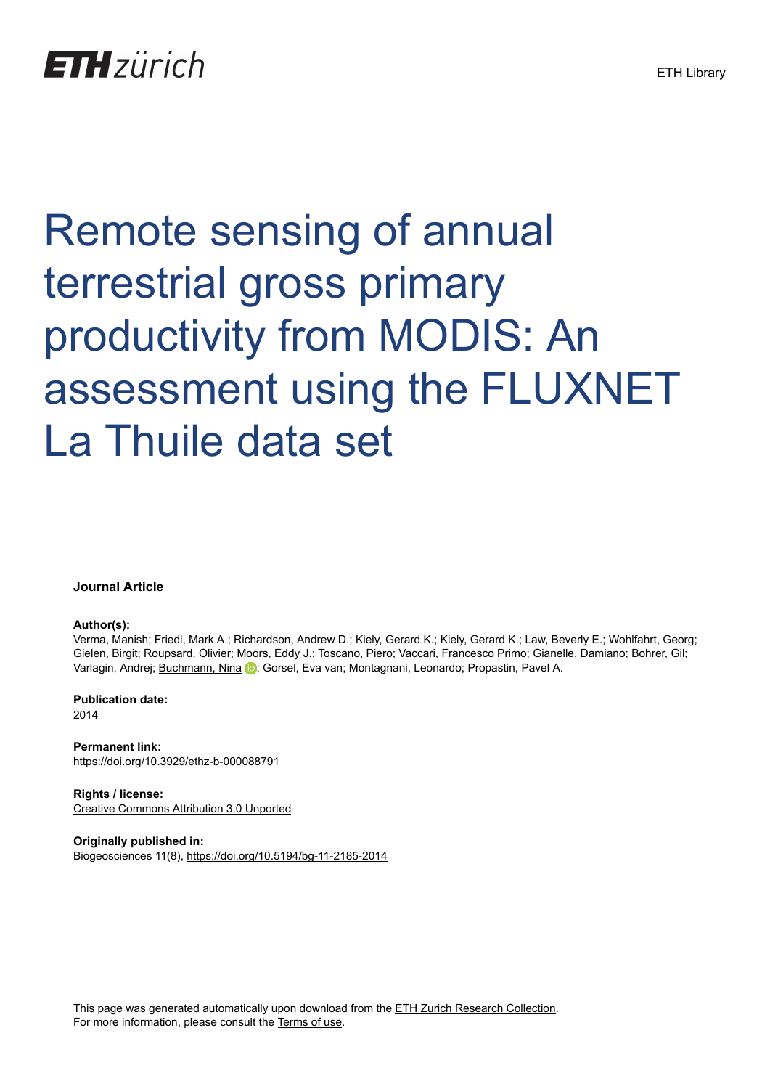# Remote sensing of annual terrestrial gross primary productivity from MODIS: An assessment using the FLUXNET La Thuile data set

**Journal Article**

#### **Author(s):**

Verma, Manish; Friedl, Mark A.; Richardson, Andrew D.; Kiely, Gerard K.; Kiely, Gerard K.; Law, Beverly E.; Wohlfahrt, Georg; Gielen, Birgit; Roupsard, Olivier; Moors, Eddy J.; Toscano, Piero; Vaccari, Francesco Primo; Gianelle, Damiano; Bohrer, Gil; Varlagin, Andrei; [Buchmann, Nina](https://orcid.org/0000-0003-0826-2980) D; Gorsel, Eva van; Montagnani, Leonardo; Propastin, Pavel A.

**Publication date:** 2014

**Permanent link:** <https://doi.org/10.3929/ethz-b-000088791>

**Rights / license:** [Creative Commons Attribution 3.0 Unported](http://creativecommons.org/licenses/by/3.0/)

**Originally published in:** Biogeosciences 11(8),<https://doi.org/10.5194/bg-11-2185-2014>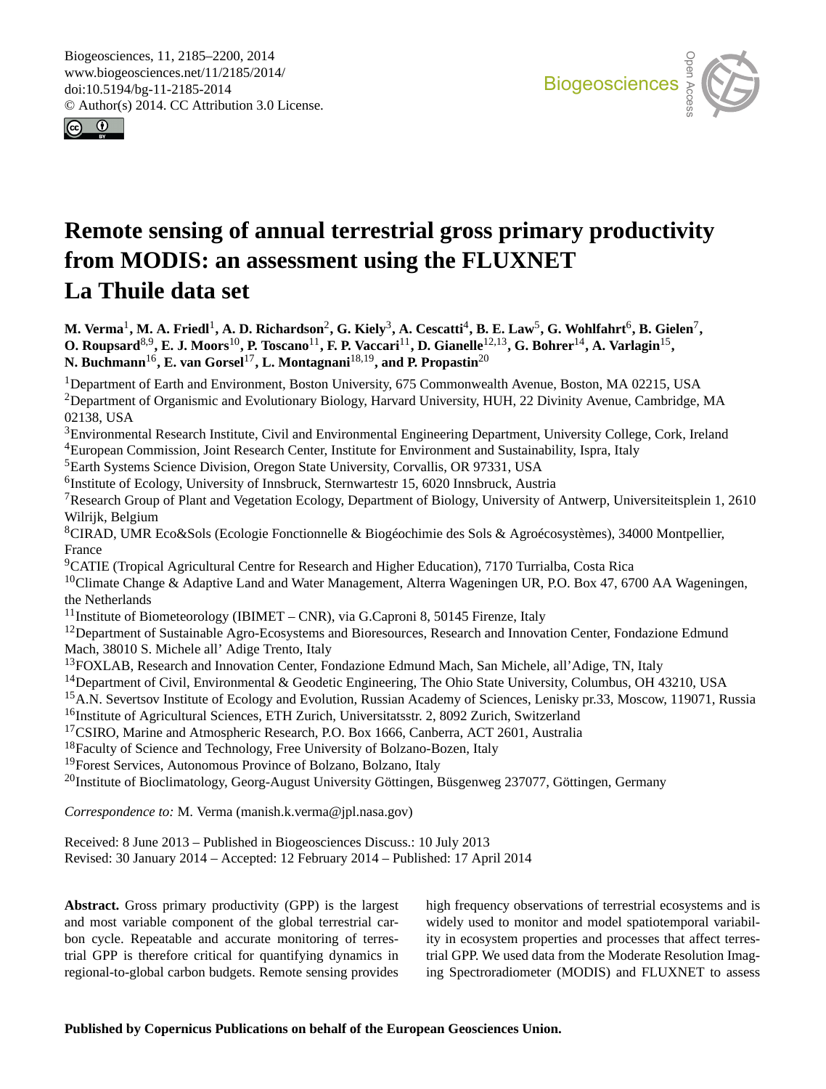<span id="page-1-0"></span>Biogeosciences, 11, 2185–2200, 2014 www.biogeosciences.net/11/2185/2014/ doi:10.5194/bg-11-2185-2014 © Author(s) 2014. CC Attribution 3.0 License.





# **Remote sensing of annual terrestrial gross primary productivity from MODIS: an assessment using the FLUXNET La Thuile data set**

M. Verma<sup>1</sup>, M. A. Friedl<sup>1</sup>, A. D. Richardson<sup>2</sup>, G. Kiely<sup>3</sup>, A. Cescatti<sup>4</sup>, B. E. Law<sup>5</sup>, G. Wohlfahrt<sup>6</sup>, B. Gielen<sup>7</sup>, **O. Roupsard**8,9**, E. J. Moors**10**, P. Toscano**11**, F. P. Vaccari**11**, D. Gianelle**12,13**, G. Bohrer**14**, A. Varlagin**<sup>15</sup> **, N. Buchmann**16**, E. van Gorsel**17**, L. Montagnani**18,19**, and P. Propastin**<sup>20</sup>

<sup>1</sup>Department of Earth and Environment, Boston University, 675 Commonwealth Avenue, Boston, MA 02215, USA <sup>2</sup>Department of Organismic and Evolutionary Biology, Harvard University, HUH, 22 Divinity Avenue, Cambridge, MA 02138, USA

<sup>3</sup>Environmental Research Institute, Civil and Environmental Engineering Department, University College, Cork, Ireland <sup>4</sup>European Commission, Joint Research Center, Institute for Environment and Sustainability, Ispra, Italy

<sup>5</sup>Earth Systems Science Division, Oregon State University, Corvallis, OR 97331, USA

<sup>6</sup>Institute of Ecology, University of Innsbruck, Sternwartestr 15, 6020 Innsbruck, Austria

<sup>7</sup>Research Group of Plant and Vegetation Ecology, Department of Biology, University of Antwerp, Universiteitsplein 1, 2610 Wilrijk, Belgium

<sup>8</sup>CIRAD, UMR Eco&Sols (Ecologie Fonctionnelle & Biogéochimie des Sols & Agroécosystèmes), 34000 Montpellier, France

<sup>9</sup>CATIE (Tropical Agricultural Centre for Research and Higher Education), 7170 Turrialba, Costa Rica

<sup>10</sup>Climate Change & Adaptive Land and Water Management, Alterra Wageningen UR, P.O. Box 47, 6700 AA Wageningen, the Netherlands

<sup>11</sup>Institute of Biometeorology (IBIMET – CNR), via G.Caproni 8, 50145 Firenze, Italy

<sup>12</sup>Department of Sustainable Agro-Ecosystems and Bioresources, Research and Innovation Center, Fondazione Edmund Mach, 38010 S. Michele all' Adige Trento, Italy

<sup>13</sup>FOXLAB, Research and Innovation Center, Fondazione Edmund Mach, San Michele, all'Adige, TN, Italy

<sup>14</sup>Department of Civil, Environmental & Geodetic Engineering, The Ohio State University, Columbus, OH 43210, USA

<sup>15</sup>A.N. Severtsov Institute of Ecology and Evolution, Russian Academy of Sciences, Lenisky pr.33, Moscow, 119071, Russia

<sup>16</sup>Institute of Agricultural Sciences, ETH Zurich, Universitatsstr. 2, 8092 Zurich, Switzerland

<sup>17</sup>CSIRO, Marine and Atmospheric Research, P.O. Box 1666, Canberra, ACT 2601, Australia

 $18$ Faculty of Science and Technology, Free University of Bolzano-Bozen, Italy

<sup>19</sup>Forest Services, Autonomous Province of Bolzano, Bolzano, Italy

<sup>20</sup>Institute of Bioclimatology, Georg-August University Göttingen, Büsgenweg 237077, Göttingen, Germany

*Correspondence to:* M. Verma (manish.k.verma@jpl.nasa.gov)

Received: 8 June 2013 – Published in Biogeosciences Discuss.: 10 July 2013 Revised: 30 January 2014 – Accepted: 12 February 2014 – Published: 17 April 2014

**Abstract.** Gross primary productivity (GPP) is the largest and most variable component of the global terrestrial carbon cycle. Repeatable and accurate monitoring of terrestrial GPP is therefore critical for quantifying dynamics in regional-to-global carbon budgets. Remote sensing provides

high frequency observations of terrestrial ecosystems and is widely used to monitor and model spatiotemporal variability in ecosystem properties and processes that affect terrestrial GPP. We used data from the Moderate Resolution Imaging Spectroradiometer (MODIS) and FLUXNET to assess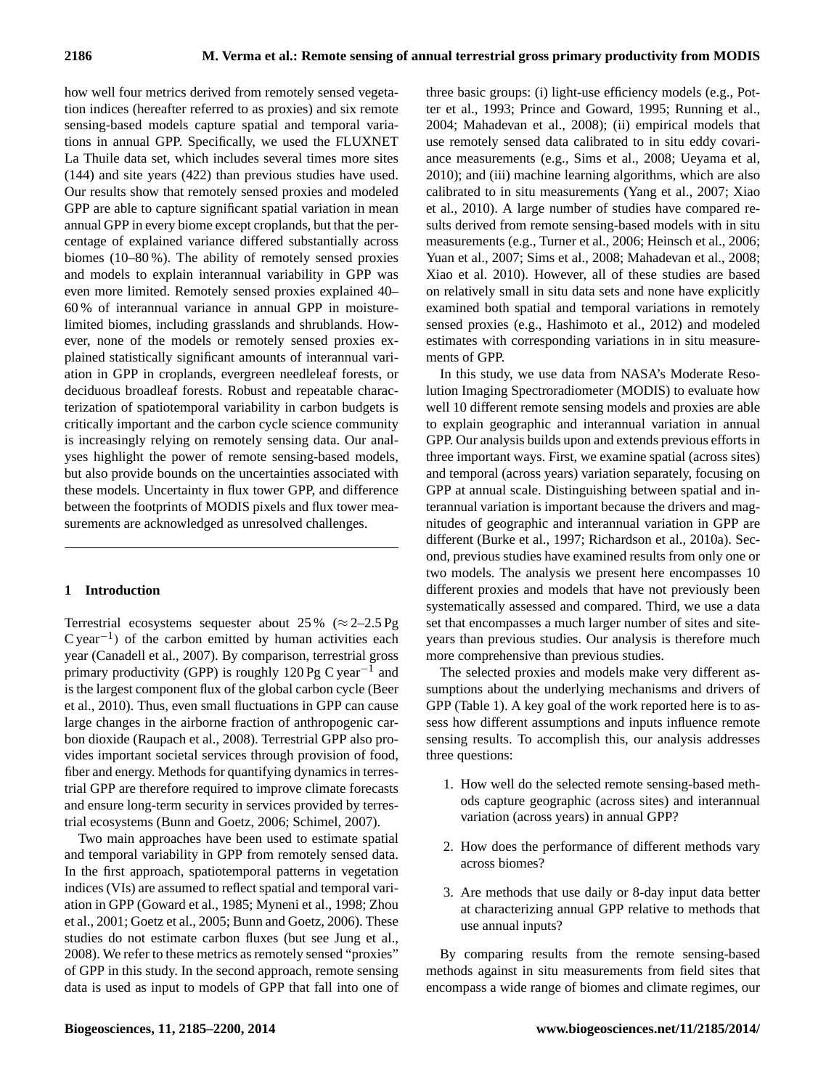how well four metrics derived from remotely sensed vegetation indices (hereafter referred to as proxies) and six remote sensing-based models capture spatial and temporal variations in annual GPP. Specifically, we used the FLUXNET La Thuile data set, which includes several times more sites (144) and site years (422) than previous studies have used. Our results show that remotely sensed proxies and modeled GPP are able to capture significant spatial variation in mean annual GPP in every biome except croplands, but that the percentage of explained variance differed substantially across biomes (10–80 %). The ability of remotely sensed proxies and models to explain interannual variability in GPP was even more limited. Remotely sensed proxies explained 40– 60 % of interannual variance in annual GPP in moisturelimited biomes, including grasslands and shrublands. However, none of the models or remotely sensed proxies explained statistically significant amounts of interannual variation in GPP in croplands, evergreen needleleaf forests, or deciduous broadleaf forests. Robust and repeatable characterization of spatiotemporal variability in carbon budgets is critically important and the carbon cycle science community is increasingly relying on remotely sensing data. Our analyses highlight the power of remote sensing-based models, but also provide bounds on the uncertainties associated with these models. Uncertainty in flux tower GPP, and difference between the footprints of MODIS pixels and flux tower measurements are acknowledged as unresolved challenges.

### **1 Introduction**

Terrestrial ecosystems sequester about 25 % ( $\approx$  2–2.5 Pg C year−<sup>1</sup> ) of the carbon emitted by human activities each year (Canadell et al., 2007). By comparison, terrestrial gross primary productivity (GPP) is roughly 120 Pg C year<sup>-1</sup> and is the largest component flux of the global carbon cycle (Beer et al., 2010). Thus, even small fluctuations in GPP can cause large changes in the airborne fraction of anthropogenic carbon dioxide (Raupach et al., 2008). Terrestrial GPP also provides important societal services through provision of food, fiber and energy. Methods for quantifying dynamics in terrestrial GPP are therefore required to improve climate forecasts and ensure long-term security in services provided by terrestrial ecosystems (Bunn and Goetz, 2006; Schimel, 2007).

Two main approaches have been used to estimate spatial and temporal variability in GPP from remotely sensed data. In the first approach, spatiotemporal patterns in vegetation indices (VIs) are assumed to reflect spatial and temporal variation in GPP (Goward et al., 1985; Myneni et al., 1998; Zhou et al., 2001; Goetz et al., 2005; Bunn and Goetz, 2006). These studies do not estimate carbon fluxes (but see Jung et al., 2008). We refer to these metrics as remotely sensed "proxies" of GPP in this study. In the second approach, remote sensing data is used as input to models of GPP that fall into one of three basic groups: (i) light-use efficiency models (e.g., Potter et al., 1993; Prince and Goward, 1995; Running et al., 2004; Mahadevan et al., 2008); (ii) empirical models that use remotely sensed data calibrated to in situ eddy covariance measurements (e.g., Sims et al., 2008; Ueyama et al, 2010); and (iii) machine learning algorithms, which are also calibrated to in situ measurements (Yang et al., 2007; Xiao et al., 2010). A large number of studies have compared results derived from remote sensing-based models with in situ measurements (e.g., Turner et al., 2006; Heinsch et al., 2006; Yuan et al., 2007; Sims et al., 2008; Mahadevan et al., 2008; Xiao et al. 2010). However, all of these studies are based on relatively small in situ data sets and none have explicitly examined both spatial and temporal variations in remotely sensed proxies (e.g., Hashimoto et al., 2012) and modeled estimates with corresponding variations in in situ measurements of GPP.

In this study, we use data from NASA's Moderate Resolution Imaging Spectroradiometer (MODIS) to evaluate how well 10 different remote sensing models and proxies are able to explain geographic and interannual variation in annual GPP. Our analysis builds upon and extends previous efforts in three important ways. First, we examine spatial (across sites) and temporal (across years) variation separately, focusing on GPP at annual scale. Distinguishing between spatial and interannual variation is important because the drivers and magnitudes of geographic and interannual variation in GPP are different (Burke et al., 1997; Richardson et al., 2010a). Second, previous studies have examined results from only one or two models. The analysis we present here encompasses 10 different proxies and models that have not previously been systematically assessed and compared. Third, we use a data set that encompasses a much larger number of sites and siteyears than previous studies. Our analysis is therefore much more comprehensive than previous studies.

The selected proxies and models make very different assumptions about the underlying mechanisms and drivers of GPP (Table 1). A key goal of the work reported here is to assess how different assumptions and inputs influence remote sensing results. To accomplish this, our analysis addresses three questions:

- 1. How well do the selected remote sensing-based methods capture geographic (across sites) and interannual variation (across years) in annual GPP?
- 2. How does the performance of different methods vary across biomes?
- 3. Are methods that use daily or 8-day input data better at characterizing annual GPP relative to methods that use annual inputs?

By comparing results from the remote sensing-based methods against in situ measurements from field sites that encompass a wide range of biomes and climate regimes, our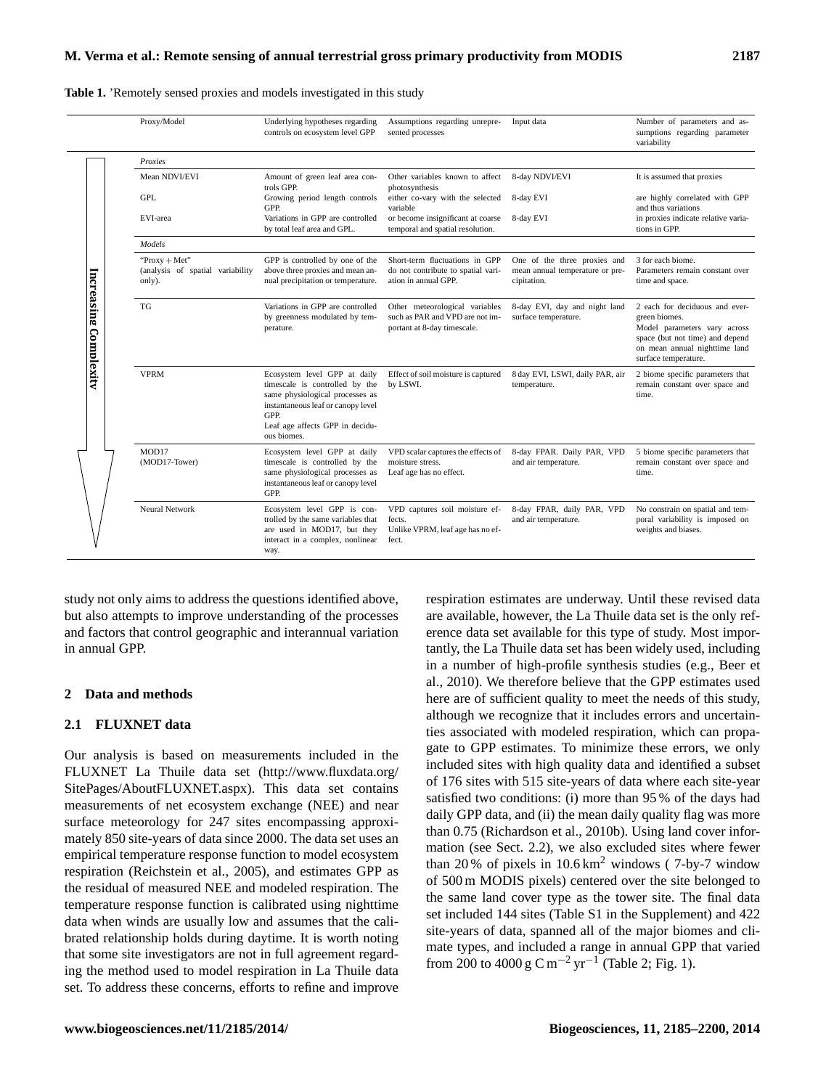| Proxy/Model                                                    | Underlying hypotheses regarding<br>controls on ecosystem level GPP                                                                                                                                | Assumptions regarding unrepre-<br>sented processes                                               | Input data                                                                     | Number of parameters and as-<br>sumptions regarding parameter<br>variability                                                                                                |
|----------------------------------------------------------------|---------------------------------------------------------------------------------------------------------------------------------------------------------------------------------------------------|--------------------------------------------------------------------------------------------------|--------------------------------------------------------------------------------|-----------------------------------------------------------------------------------------------------------------------------------------------------------------------------|
| Proxies                                                        |                                                                                                                                                                                                   |                                                                                                  |                                                                                |                                                                                                                                                                             |
| Mean NDVI/EVI                                                  | Amount of green leaf area con-<br>trols GPP.                                                                                                                                                      | Other variables known to affect<br>photosynthesis                                                | 8-day NDVI/EVI                                                                 | It is assumed that proxies                                                                                                                                                  |
| <b>GPL</b>                                                     | Growing period length controls<br>GPP.                                                                                                                                                            | either co-vary with the selected<br>variable                                                     | 8-day EVI                                                                      | are highly correlated with GPP<br>and thus variations                                                                                                                       |
| EVI-area                                                       | Variations in GPP are controlled<br>by total leaf area and GPL.                                                                                                                                   | or become insignificant at coarse<br>temporal and spatial resolution.                            | 8-day EVI                                                                      | in proxies indicate relative varia-<br>tions in GPP.                                                                                                                        |
| Models                                                         |                                                                                                                                                                                                   |                                                                                                  |                                                                                |                                                                                                                                                                             |
| " $Proxy + Met"$<br>(analysis of spatial variability<br>only). | GPP is controlled by one of the<br>above three proxies and mean an-<br>nual precipitation or temperature.                                                                                         | Short-term fluctuations in GPP<br>do not contribute to spatial vari-<br>ation in annual GPP.     | One of the three proxies and<br>mean annual temperature or pre-<br>cipitation. | 3 for each biome.<br>Parameters remain constant over<br>time and space.                                                                                                     |
| TG                                                             | Variations in GPP are controlled<br>by greenness modulated by tem-<br>perature.                                                                                                                   | Other meteorological variables<br>such as PAR and VPD are not im-<br>portant at 8-day timescale. | 8-day EVI, day and night land<br>surface temperature.                          | 2 each for deciduous and ever-<br>green biomes.<br>Model parameters vary across<br>space (but not time) and depend<br>on mean annual nighttime land<br>surface temperature. |
| <b>VPRM</b>                                                    | Ecosystem level GPP at daily<br>timescale is controlled by the<br>same physiological processes as<br>instantaneous leaf or canopy level<br>GPP.<br>Leaf age affects GPP in decidu-<br>ous biomes. | Effect of soil moisture is captured<br>by LSWI.                                                  | 8 day EVI, LSWI, daily PAR, air<br>temperature.                                | 2 biome specific parameters that<br>remain constant over space and<br>time.                                                                                                 |
| MOD17<br>(MOD17-Tower)                                         | Ecosystem level GPP at daily<br>timescale is controlled by the<br>same physiological processes as<br>instantaneous leaf or canopy level<br>GPP.                                                   | VPD scalar captures the effects of<br>moisture stress.<br>Leaf age has no effect.                | 8-day FPAR. Daily PAR, VPD<br>and air temperature.                             | 5 biome specific parameters that<br>remain constant over space and<br>time.                                                                                                 |
| Neural Network                                                 | Ecosystem level GPP is con-<br>trolled by the same variables that<br>are used in MOD17, but they<br>interact in a complex, nonlinear<br>way.                                                      | VPD captures soil moisture ef-<br>fects.<br>Unlike VPRM, leaf age has no ef-<br>fect.            | 8-day FPAR, daily PAR, VPD<br>and air temperature.                             | No constrain on spatial and tem-<br>poral variability is imposed on<br>weights and biases.                                                                                  |

| Table 1. 'Remotely sensed proxies and models investigated in this study |  |
|-------------------------------------------------------------------------|--|
|-------------------------------------------------------------------------|--|

but also attempts to improve understanding of the processes study not only aims to address the questions identified above, and factors that control geographic and interannual variation in annual GPP.

#### **2 Data and methods**

#### **2.1 FLUXNET data**

Our analysis is based on measurements included in the FLUXNET La Thuile data set [\(http://www.fluxdata.org/](http://www.fluxdata.org/SitePages/AboutFLUXNET.aspx) [SitePages/AboutFLUXNET.aspx\)](http://www.fluxdata.org/SitePages/AboutFLUXNET.aspx). This data set contains measurements of net ecosystem exchange (NEE) and near surface meteorology for 247 sites encompassing approximately 850 site-years of data since 2000. The data set uses an empirical temperature response function to model ecosystem respiration (Reichstein et al., 2005), and estimates GPP as the residual of measured NEE and modeled respiration. The temperature response function is calibrated using nighttime data when winds are usually low and assumes that the calibrated relationship holds during daytime. It is worth noting that some site investigators are not in full agreement regarding the method used to model respiration in La Thuile data set. To address these concerns, efforts to refine and improve

respiration estimates are underway. Until these revised data are available, however, the La Thuile data set is the only reference data set available for this type of study. Most importantly, the La Thuile data set has been widely used, including in a number of high-profile synthesis studies (e.g., Beer et al., 2010). We therefore believe that the GPP estimates used here are of sufficient quality to meet the needs of this study, although we recognize that it includes errors and uncertainties associated with modeled respiration, which can propagate to GPP estimates. To minimize these errors, we only included sites with high quality data and identified a subset of 176 sites with 515 site-years of data where each site-year satisfied two conditions: (i) more than 95 % of the days had daily GPP data, and (ii) the mean daily quality flag was more than 0.75 (Richardson et al., 2010b). Using land cover information (see Sect. 2.2), we also excluded sites where fewer than 20 % of pixels in  $10.6 \text{ km}^2$  windows (7-by-7 window of 500 m MODIS pixels) centered over the site belonged to the same land cover type as the tower site. The final data set included 144 sites (Table S1 in the Supplement) and 422 site-years of data, spanned all of the major biomes and climate types, and included a range in annual GPP that varied from 200 to 4000 g C m<sup>-2</sup> yr<sup>-1</sup> (Table 2; Fig. 1).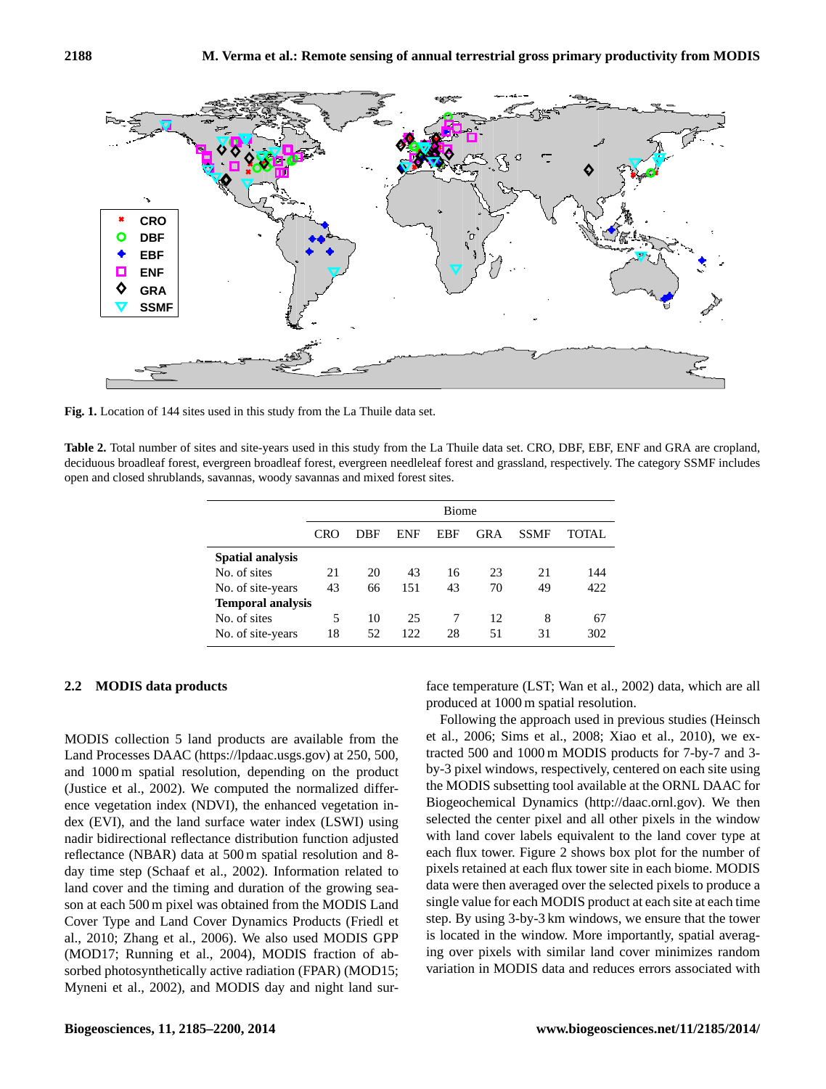

**Fig. 1.** Location of 144 sites used in this study from the La Thuile data set.

**Table 2.** Total number of sites and site-years used in this study from the La Thuile data set. CRO, DBF, EBF, ENF and GRA are cropland, deciduous broadleaf forest, evergreen broadleaf forest, evergreen needleleaf forest and grassland, respectively. The category SSMF includes open and closed shrublands, savannas, woody savannas and mixed forest sites.

|                          | <b>Biome</b> |     |            |     |            |             |        |
|--------------------------|--------------|-----|------------|-----|------------|-------------|--------|
|                          | CRO          | DBF | <b>ENF</b> | EBF | <b>GRA</b> | <b>SSMF</b> | TOTAL. |
| Spatial analysis         |              |     |            |     |            |             |        |
| No. of sites             | 21           | 20  | 43         | 16  | 23         | 21          | 144    |
| No. of site-years        | 43           | 66  | 151        | 43  | 70         | 49          | 422    |
| <b>Temporal analysis</b> |              |     |            |     |            |             |        |
| No. of sites             | 5            | 10  | 25         |     | 12         | 8           | 67     |
| No. of site-years        | 18           | 52  | 122        | 28  | 51         | 31          | 302    |

#### **2.2 MODIS data products**

MODIS collection 5 land products are available from the Land Processes DAAC [\(https://lpdaac.usgs.gov\)](https://lpdaac.usgs.gov) at 250, 500, and 1000 m spatial resolution, depending on the product (Justice et al., 2002). We computed the normalized difference vegetation index (NDVI), the enhanced vegetation index (EVI), and the land surface water index (LSWI) using nadir bidirectional reflectance distribution function adjusted reflectance (NBAR) data at 500 m spatial resolution and 8 day time step (Schaaf et al., 2002). Information related to land cover and the timing and duration of the growing season at each 500 m pixel was obtained from the MODIS Land Cover Type and Land Cover Dynamics Products (Friedl et al., 2010; Zhang et al., 2006). We also used MODIS GPP (MOD17; Running et al., 2004), MODIS fraction of absorbed photosynthetically active radiation (FPAR) (MOD15; Myneni et al., 2002), and MODIS day and night land surface temperature (LST; Wan et al., 2002) data, which are all produced at 1000 m spatial resolution.

Following the approach used in previous studies (Heinsch et al., 2006; Sims et al., 2008; Xiao et al., 2010), we extracted 500 and 1000 m MODIS products for 7-by-7 and 3 by-3 pixel windows, respectively, centered on each site using the MODIS subsetting tool available at the ORNL DAAC for Biogeochemical Dynamics [\(http://daac.ornl.gov\)](http://daac.ornl.gov). We then selected the center pixel and all other pixels in the window with land cover labels equivalent to the land cover type at each flux tower. Figure 2 shows box plot for the number of pixels retained at each flux tower site in each biome. MODIS data were then averaged over the selected pixels to produce a single value for each MODIS product at each site at each time step. By using 3-by-3 km windows, we ensure that the tower is located in the window. More importantly, spatial averaging over pixels with similar land cover minimizes random variation in MODIS data and reduces errors associated with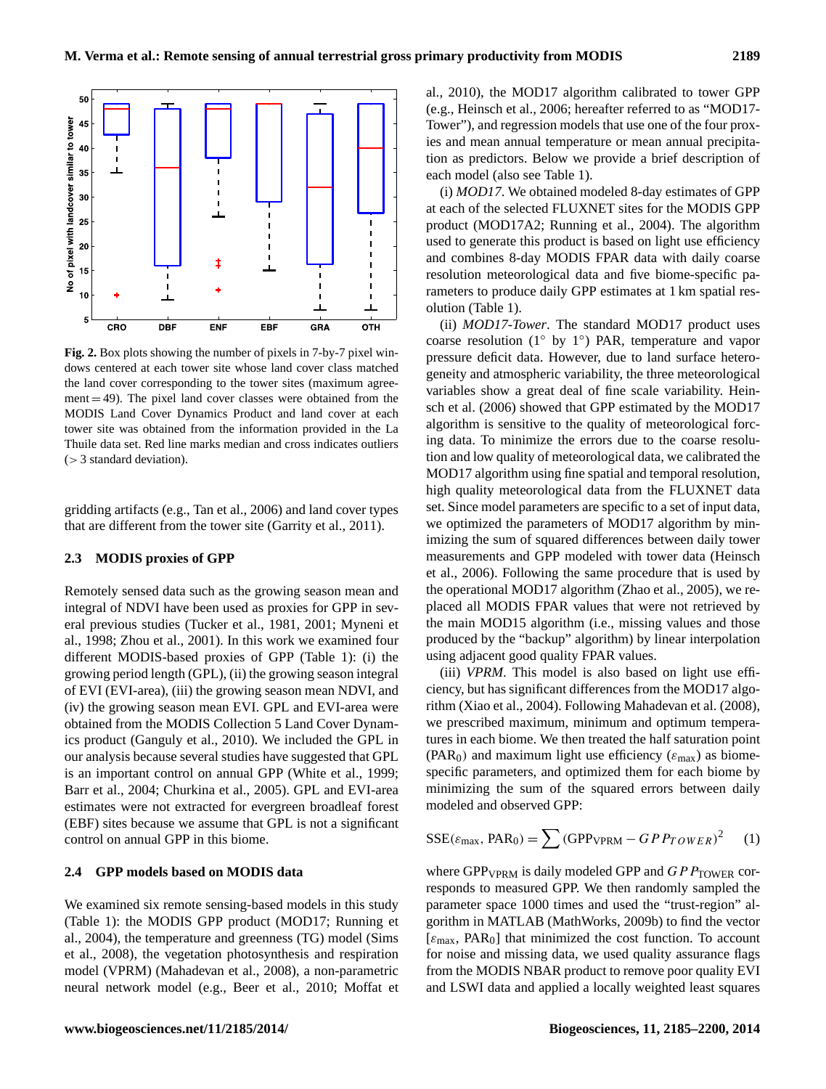

**Fig. 2.** Box plots showing the number of pixels in 7-by-7 pixel windows centered at each tower site whose land cover class matched the land cover corresponding to the tower sites (maximum agree $ment = 49$ ). The pixel land cover classes were obtained from the MODIS Land Cover Dynamics Product and land cover at each tower site was obtained from the information provided in the La Thuile data set. Red line marks median and cross indicates outliers (> 3 standard deviation).

gridding artifacts (e.g., Tan et al., 2006) and land cover types that are different from the tower site (Garrity et al., 2011).

#### **2.3 MODIS proxies of GPP**

Remotely sensed data such as the growing season mean and integral of NDVI have been used as proxies for GPP in several previous studies (Tucker et al., 1981, 2001; Myneni et al., 1998; Zhou et al., 2001). In this work we examined four different MODIS-based proxies of GPP (Table 1): (i) the growing period length (GPL), (ii) the growing season integral of EVI (EVI-area), (iii) the growing season mean NDVI, and (iv) the growing season mean EVI. GPL and EVI-area were obtained from the MODIS Collection 5 Land Cover Dynamics product (Ganguly et al., 2010). We included the GPL in our analysis because several studies have suggested that GPL is an important control on annual GPP (White et al., 1999; Barr et al., 2004; Churkina et al., 2005). GPL and EVI-area estimates were not extracted for evergreen broadleaf forest (EBF) sites because we assume that GPL is not a significant control on annual GPP in this biome.

#### **2.4 GPP models based on MODIS data**

We examined six remote sensing-based models in this study (Table 1): the MODIS GPP product (MOD17; Running et al., 2004), the temperature and greenness (TG) model (Sims et al., 2008), the vegetation photosynthesis and respiration model (VPRM) (Mahadevan et al., 2008), a non-parametric neural network model (e.g., Beer et al., 2010; Moffat et al., 2010), the MOD17 algorithm calibrated to tower GPP (e.g., Heinsch et al., 2006; hereafter referred to as "MOD17- Tower"), and regression models that use one of the four proxies and mean annual temperature or mean annual precipitation as predictors. Below we provide a brief description of each model (also see Table 1).

(i) *MOD17*. We obtained modeled 8-day estimates of GPP at each of the selected FLUXNET sites for the MODIS GPP product (MOD17A2; Running et al., 2004). The algorithm used to generate this product is based on light use efficiency and combines 8-day MODIS FPAR data with daily coarse resolution meteorological data and five biome-specific parameters to produce daily GPP estimates at 1 km spatial resolution (Table 1).

(ii) *MOD17-Tower*. The standard MOD17 product uses coarse resolution (1◦ by 1◦ ) PAR, temperature and vapor pressure deficit data. However, due to land surface heterogeneity and atmospheric variability, the three meteorological variables show a great deal of fine scale variability. Heinsch et al. (2006) showed that GPP estimated by the MOD17 algorithm is sensitive to the quality of meteorological forcing data. To minimize the errors due to the coarse resolution and low quality of meteorological data, we calibrated the MOD17 algorithm using fine spatial and temporal resolution, high quality meteorological data from the FLUXNET data set. Since model parameters are specific to a set of input data, we optimized the parameters of MOD17 algorithm by minimizing the sum of squared differences between daily tower measurements and GPP modeled with tower data (Heinsch et al., 2006). Following the same procedure that is used by the operational MOD17 algorithm (Zhao et al., 2005), we replaced all MODIS FPAR values that were not retrieved by the main MOD15 algorithm (i.e., missing values and those produced by the "backup" algorithm) by linear interpolation using adjacent good quality FPAR values.

(iii) *VPRM*. This model is also based on light use efficiency, but has significant differences from the MOD17 algorithm (Xiao et al., 2004). Following Mahadevan et al. (2008), we prescribed maximum, minimum and optimum temperatures in each biome. We then treated the half saturation point (PAR<sub>0</sub>) and maximum light use efficiency ( $\varepsilon_{\text{max}}$ ) as biomespecific parameters, and optimized them for each biome by minimizing the sum of the squared errors between daily modeled and observed GPP:

$$
SSE(\varepsilon_{\text{max}}, \text{PAR}_0) = \sum (\text{GPP}_{\text{VPRM}} - \text{GPP}_{\text{TOWER}})^2 \tag{1}
$$

where GPP<sub>VPRM</sub> is daily modeled GPP and  $GP$  P<sub>TOWER</sub> corresponds to measured GPP. We then randomly sampled the parameter space 1000 times and used the "trust-region" algorithm in MATLAB (MathWorks, 2009b) to find the vector  $[\varepsilon_{\text{max}}, \text{PAR}_0]$  that minimized the cost function. To account for noise and missing data, we used quality assurance flags from the MODIS NBAR product to remove poor quality EVI and LSWI data and applied a locally weighted least squares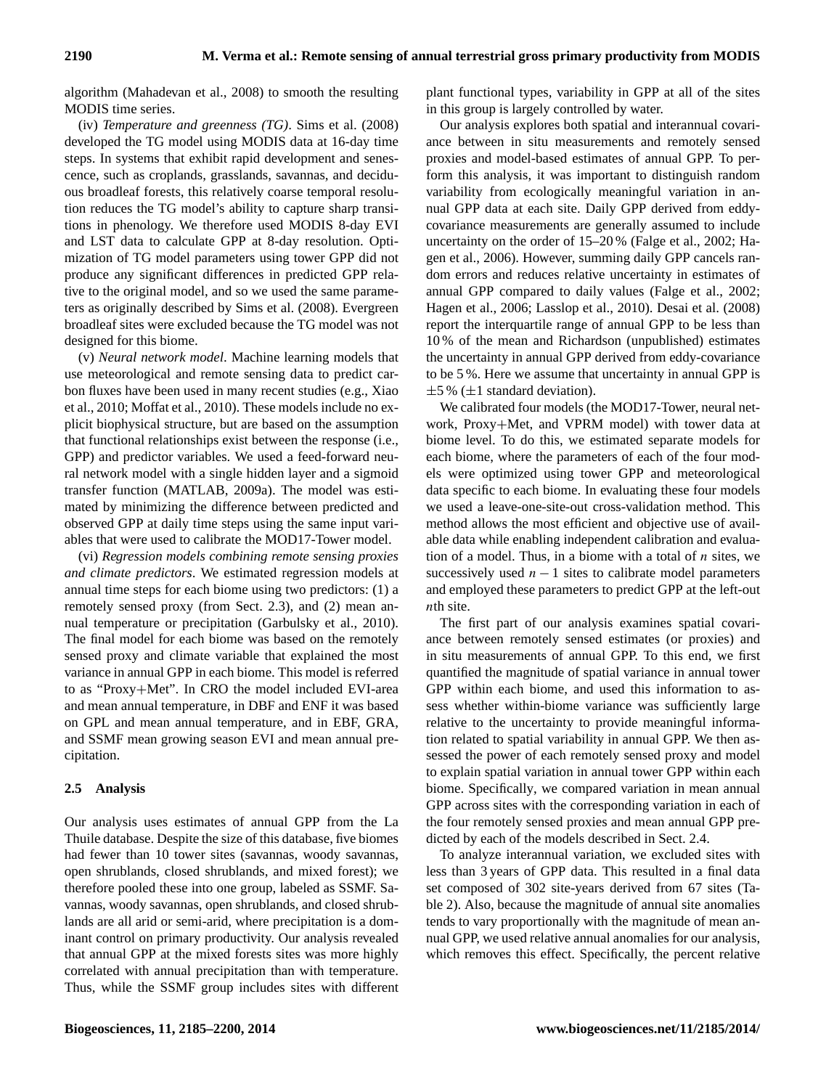algorithm (Mahadevan et al., 2008) to smooth the resulting MODIS time series.

(iv) *Temperature and greenness (TG)*. Sims et al. (2008) developed the TG model using MODIS data at 16-day time steps. In systems that exhibit rapid development and senescence, such as croplands, grasslands, savannas, and deciduous broadleaf forests, this relatively coarse temporal resolution reduces the TG model's ability to capture sharp transitions in phenology. We therefore used MODIS 8-day EVI and LST data to calculate GPP at 8-day resolution. Optimization of TG model parameters using tower GPP did not produce any significant differences in predicted GPP relative to the original model, and so we used the same parameters as originally described by Sims et al. (2008). Evergreen broadleaf sites were excluded because the TG model was not designed for this biome.

(v) *Neural network model*. Machine learning models that use meteorological and remote sensing data to predict carbon fluxes have been used in many recent studies (e.g., Xiao et al., 2010; Moffat et al., 2010). These models include no explicit biophysical structure, but are based on the assumption that functional relationships exist between the response (i.e., GPP) and predictor variables. We used a feed-forward neural network model with a single hidden layer and a sigmoid transfer function (MATLAB, 2009a). The model was estimated by minimizing the difference between predicted and observed GPP at daily time steps using the same input variables that were used to calibrate the MOD17-Tower model.

(vi) *Regression models combining remote sensing proxies and climate predictors*. We estimated regression models at annual time steps for each biome using two predictors: (1) a remotely sensed proxy (from Sect. 2.3), and (2) mean annual temperature or precipitation (Garbulsky et al., 2010). The final model for each biome was based on the remotely sensed proxy and climate variable that explained the most variance in annual GPP in each biome. This model is referred to as "Proxy+Met". In CRO the model included EVI-area and mean annual temperature, in DBF and ENF it was based on GPL and mean annual temperature, and in EBF, GRA, and SSMF mean growing season EVI and mean annual precipitation.

# **2.5 Analysis**

Our analysis uses estimates of annual GPP from the La Thuile database. Despite the size of this database, five biomes had fewer than 10 tower sites (savannas, woody savannas, open shrublands, closed shrublands, and mixed forest); we therefore pooled these into one group, labeled as SSMF. Savannas, woody savannas, open shrublands, and closed shrublands are all arid or semi-arid, where precipitation is a dominant control on primary productivity. Our analysis revealed that annual GPP at the mixed forests sites was more highly correlated with annual precipitation than with temperature. Thus, while the SSMF group includes sites with different plant functional types, variability in GPP at all of the sites in this group is largely controlled by water.

Our analysis explores both spatial and interannual covariance between in situ measurements and remotely sensed proxies and model-based estimates of annual GPP. To perform this analysis, it was important to distinguish random variability from ecologically meaningful variation in annual GPP data at each site. Daily GPP derived from eddycovariance measurements are generally assumed to include uncertainty on the order of 15–20 % (Falge et al., 2002; Hagen et al., 2006). However, summing daily GPP cancels random errors and reduces relative uncertainty in estimates of annual GPP compared to daily values (Falge et al., 2002; Hagen et al., 2006; Lasslop et al., 2010). Desai et al. (2008) report the interquartile range of annual GPP to be less than 10 % of the mean and Richardson (unpublished) estimates the uncertainty in annual GPP derived from eddy-covariance to be 5 %. Here we assume that uncertainty in annual GPP is  $\pm$ 5 % ( $\pm$ 1 standard deviation).

We calibrated four models (the MOD17-Tower, neural network, Proxy+Met, and VPRM model) with tower data at biome level. To do this, we estimated separate models for each biome, where the parameters of each of the four models were optimized using tower GPP and meteorological data specific to each biome. In evaluating these four models we used a leave-one-site-out cross-validation method. This method allows the most efficient and objective use of available data while enabling independent calibration and evaluation of a model. Thus, in a biome with a total of  $n$  sites, we successively used  $n - 1$  sites to calibrate model parameters and employed these parameters to predict GPP at the left-out nth site.

The first part of our analysis examines spatial covariance between remotely sensed estimates (or proxies) and in situ measurements of annual GPP. To this end, we first quantified the magnitude of spatial variance in annual tower GPP within each biome, and used this information to assess whether within-biome variance was sufficiently large relative to the uncertainty to provide meaningful information related to spatial variability in annual GPP. We then assessed the power of each remotely sensed proxy and model to explain spatial variation in annual tower GPP within each biome. Specifically, we compared variation in mean annual GPP across sites with the corresponding variation in each of the four remotely sensed proxies and mean annual GPP predicted by each of the models described in Sect. 2.4.

To analyze interannual variation, we excluded sites with less than 3 years of GPP data. This resulted in a final data set composed of 302 site-years derived from 67 sites (Table 2). Also, because the magnitude of annual site anomalies tends to vary proportionally with the magnitude of mean annual GPP, we used relative annual anomalies for our analysis, which removes this effect. Specifically, the percent relative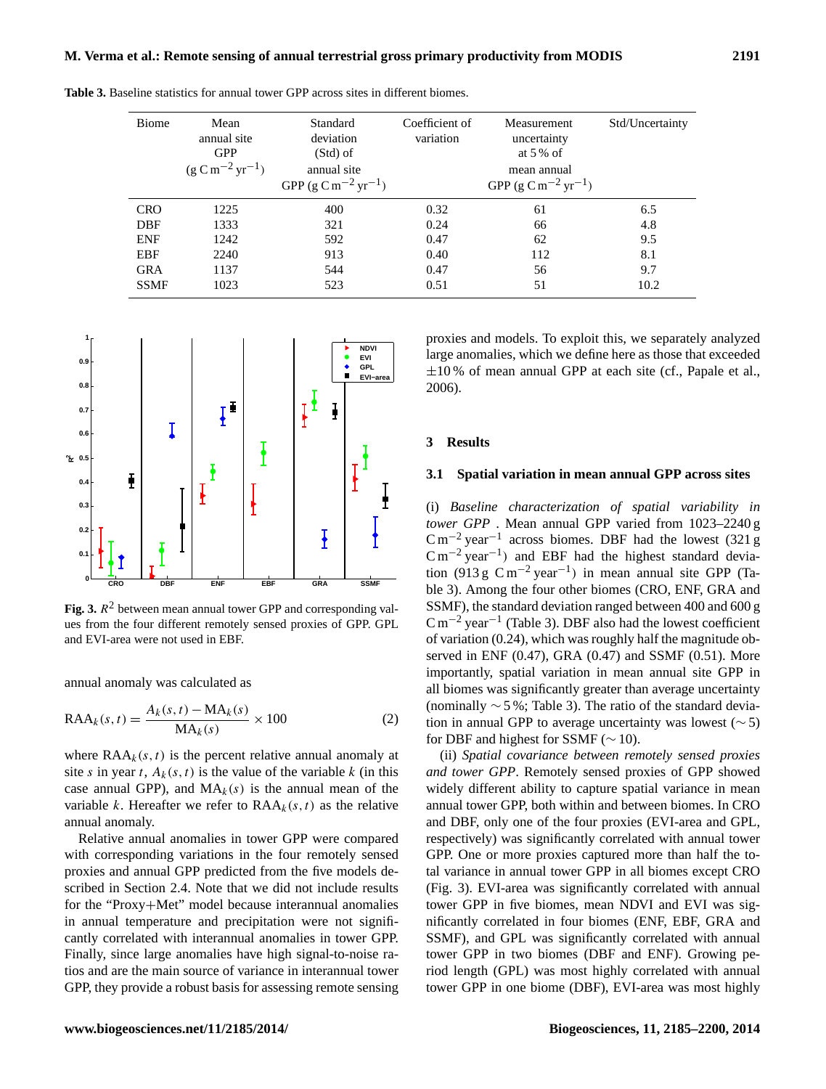| <b>Biome</b> | Mean<br>annual site<br><b>GPP</b><br>$(g \text{ C m}^{-2} \text{ yr}^{-1})$ | Standard<br>deviation<br>(Std) of<br>annual site<br>GPP (g C m <sup>-2</sup> yr <sup>-1</sup> ) | Coefficient of<br>variation | Measurement<br>uncertainty<br>at $5\%$ of<br>mean annual<br>GPP (g C m <sup>-2</sup> yr <sup>-1</sup> ) | Std/Uncertainty |
|--------------|-----------------------------------------------------------------------------|-------------------------------------------------------------------------------------------------|-----------------------------|---------------------------------------------------------------------------------------------------------|-----------------|
| <b>CRO</b>   | 1225                                                                        | 400                                                                                             | 0.32                        | 61                                                                                                      | 6.5             |
| <b>DBF</b>   | 1333                                                                        | 321                                                                                             | 0.24                        | 66                                                                                                      | 4.8             |
| <b>ENF</b>   | 1242                                                                        | 592                                                                                             | 0.47                        | 62                                                                                                      | 9.5             |
| EBF          | 2240                                                                        | 913                                                                                             | 0.40                        | 112                                                                                                     | 8.1             |
| <b>GRA</b>   | 1137                                                                        | 544                                                                                             | 0.47                        | 56                                                                                                      | 9.7             |
| <b>SSMF</b>  | 1023                                                                        | 523                                                                                             | 0.51                        | 51                                                                                                      | 10.2            |
|              |                                                                             |                                                                                                 |                             |                                                                                                         |                 |

**Table 3.** Baseline statistics for annual tower GPP across sites in different biomes.



Fig. 3.  $R^2$  between mean annual tower GPP and corresponding values from the four different remotely sensed proxies of GPP. GPL and EVI-area were not used in EBF.

annual anomaly was calculated as

$$
RAA_k(s,t) = \frac{A_k(s,t) - MA_k(s)}{MA_k(s)} \times 100
$$
 (2)

where  $RAA_k(s, t)$  is the percent relative annual anomaly at site s in year t,  $A_k(s, t)$  is the value of the variable k (in this case annual GPP), and  $MA_k(s)$  is the annual mean of the variable k. Hereafter we refer to  $RAA_k(s, t)$  as the relative annual anomaly.

Relative annual anomalies in tower GPP were compared with corresponding variations in the four remotely sensed proxies and annual GPP predicted from the five models described in Section 2.4. Note that we did not include results for the "Proxy+Met" model because interannual anomalies in annual temperature and precipitation were not significantly correlated with interannual anomalies in tower GPP. Finally, since large anomalies have high signal-to-noise ratios and are the main source of variance in interannual tower GPP, they provide a robust basis for assessing remote sensing proxies and models. To exploit this, we separately analyzed large anomalies, which we define here as those that exceeded  $\pm 10$ % of mean annual GPP at each site (cf., Papale et al., 2006).

#### **3 Results**

#### **3.1 Spatial variation in mean annual GPP across sites**

(i) *Baseline characterization of spatial variability in tower GPP* . Mean annual GPP varied from 1023–2240 g  $\text{C m}^{-2}$  year<sup>-1</sup> across biomes. DBF had the lowest (321 g C m−<sup>2</sup> year−<sup>1</sup> ) and EBF had the highest standard deviation (913 g C m<sup>-2</sup> year<sup>-1</sup>) in mean annual site GPP (Table 3). Among the four other biomes (CRO, ENF, GRA and SSMF), the standard deviation ranged between 400 and 600 g C m−<sup>2</sup> year−<sup>1</sup> (Table 3). DBF also had the lowest coefficient of variation (0.24), which was roughly half the magnitude observed in ENF (0.47), GRA (0.47) and SSMF (0.51). More importantly, spatial variation in mean annual site GPP in all biomes was significantly greater than average uncertainty (nominally ∼ 5 %; Table 3). The ratio of the standard deviation in annual GPP to average uncertainty was lowest ( $\sim$  5) for DBF and highest for SSMF ( $\sim$  10).

(ii) *Spatial covariance between remotely sensed proxies and tower GPP*. Remotely sensed proxies of GPP showed widely different ability to capture spatial variance in mean annual tower GPP, both within and between biomes. In CRO and DBF, only one of the four proxies (EVI-area and GPL, respectively) was significantly correlated with annual tower GPP. One or more proxies captured more than half the total variance in annual tower GPP in all biomes except CRO (Fig. 3). EVI-area was significantly correlated with annual tower GPP in five biomes, mean NDVI and EVI was significantly correlated in four biomes (ENF, EBF, GRA and SSMF), and GPL was significantly correlated with annual tower GPP in two biomes (DBF and ENF). Growing period length (GPL) was most highly correlated with annual tower GPP in one biome (DBF), EVI-area was most highly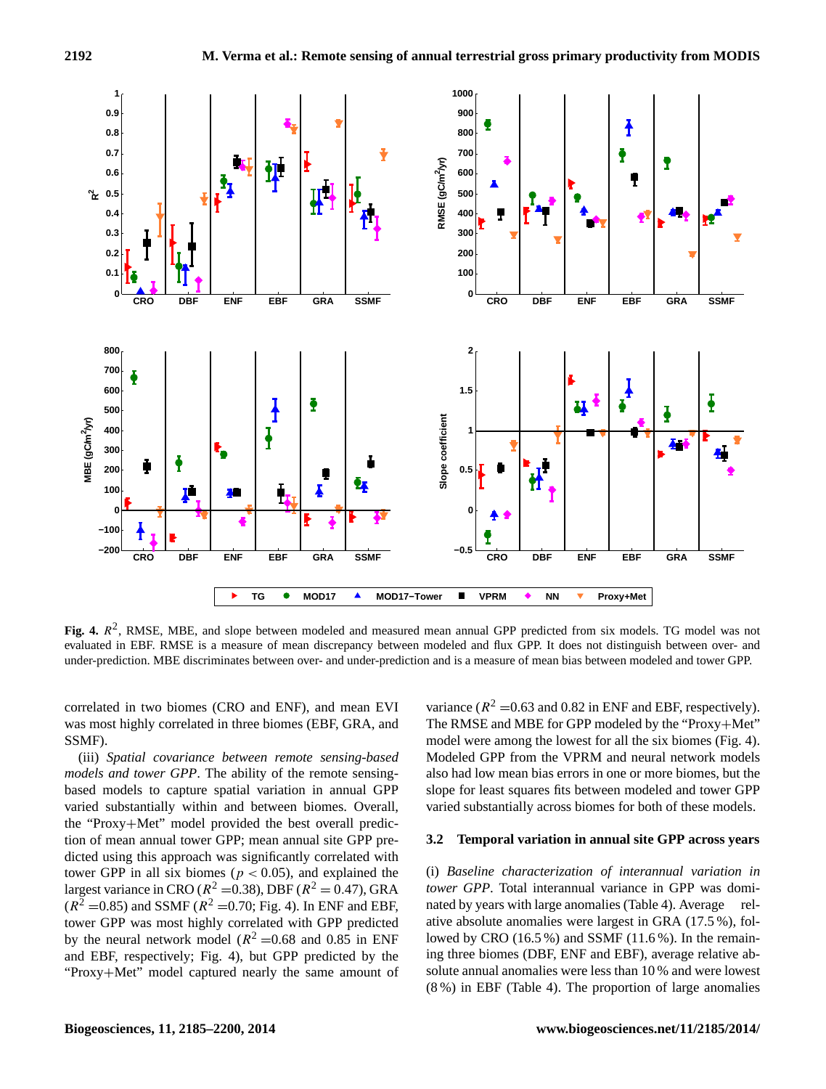

Fig. 4.  $R^2$ , RMSE, MBE, and slope between modeled and measured mean annual GPP predicted from six models. TG model was not evaluated in EBF. RMSE is a measure of mean discrepancy between modeled and flux GPP. It does not distinguish between over- and under-prediction. MBE discriminates between over- and under-prediction and is a measure of mean bias between modeled and tower GPP.

correlated in two biomes (CRO and ENF), and mean EVI was most highly correlated in three biomes (EBF, GRA, and SSMF).

(iii) *Spatial covariance between remote sensing-based models and tower GPP*. The ability of the remote sensingbased models to capture spatial variation in annual GPP varied substantially within and between biomes. Overall, the "Proxy+Met" model provided the best overall prediction of mean annual tower GPP; mean annual site GPP predicted using this approach was significantly correlated with tower GPP in all six biomes ( $p < 0.05$ ), and explained the largest variance in CRO ( $R^2$  =0.38), DBF ( $R^2$  = 0.47), GRA  $(R^2 = 0.85)$  and SSMF  $(R^2 = 0.70;$  Fig. 4). In ENF and EBF, tower GPP was most highly correlated with GPP predicted by the neural network model ( $R^2 = 0.68$  and 0.85 in ENF and EBF, respectively; Fig. 4), but GPP predicted by the "Proxy+Met" model captured nearly the same amount of

variance ( $R^2$  =0.63 and 0.82 in ENF and EBF, respectively). The RMSE and MBE for GPP modeled by the "Proxy+Met" model were among the lowest for all the six biomes (Fig. 4). Modeled GPP from the VPRM and neural network models also had low mean bias errors in one or more biomes, but the slope for least squares fits between modeled and tower GPP varied substantially across biomes for both of these models.

#### **3.2 Temporal variation in annual site GPP across years**

(i) *Baseline characterization of interannual variation in tower GPP*. Total interannual variance in GPP was dominated by years with large anomalies (Table 4). Average relative absolute anomalies were largest in GRA (17.5 %), followed by CRO (16.5 %) and SSMF (11.6 %). In the remaining three biomes (DBF, ENF and EBF), average relative absolute annual anomalies were less than 10 % and were lowest (8 %) in EBF (Table 4). The proportion of large anomalies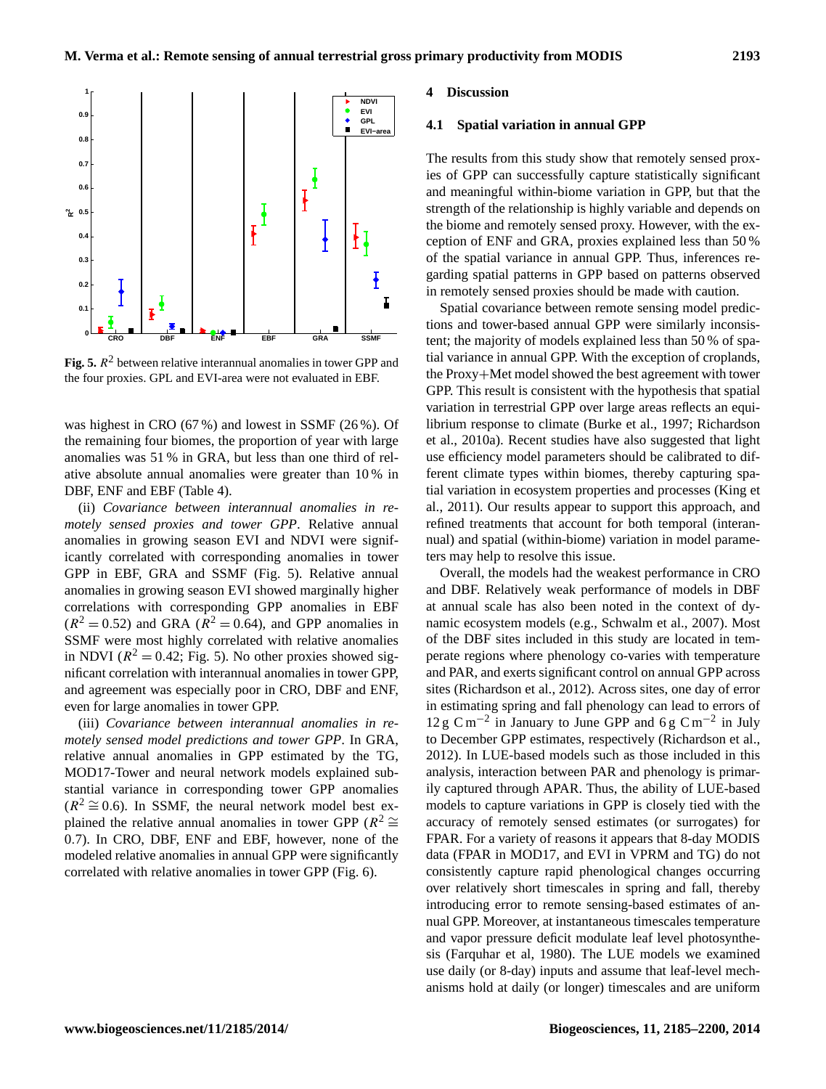

**Fig. 5.**  $R^2$  between relative interannual anomalies in tower GPP and the four proxies. GPL and EVI-area were not evaluated in EBF.

was highest in CRO (67 %) and lowest in SSMF (26 %). Of the remaining four biomes, the proportion of year with large anomalies was 51 % in GRA, but less than one third of relative absolute annual anomalies were greater than 10 % in DBF, ENF and EBF (Table 4).

(ii) *Covariance between interannual anomalies in remotely sensed proxies and tower GPP*. Relative annual anomalies in growing season EVI and NDVI were significantly correlated with corresponding anomalies in tower GPP in EBF, GRA and SSMF (Fig. 5). Relative annual anomalies in growing season EVI showed marginally higher correlations with corresponding GPP anomalies in EBF  $(R^2 = 0.52)$  and GRA  $(R^2 = 0.64)$ , and GPP anomalies in SSMF were most highly correlated with relative anomalies in NDVI ( $R^2 = 0.42$ ; Fig. 5). No other proxies showed significant correlation with interannual anomalies in tower GPP, and agreement was especially poor in CRO, DBF and ENF, even for large anomalies in tower GPP.

(iii) *Covariance between interannual anomalies in remotely sensed model predictions and tower GPP*. In GRA, relative annual anomalies in GPP estimated by the TG, MOD17-Tower and neural network models explained substantial variance in corresponding tower GPP anomalies  $(R^2 \approx 0.6)$ . In SSMF, the neural network model best explained the relative annual anomalies in tower GPP ( $R^2 \cong$ 0.7). In CRO, DBF, ENF and EBF, however, none of the modeled relative anomalies in annual GPP were significantly correlated with relative anomalies in tower GPP (Fig. 6).

#### **4 Discussion**

#### **4.1 Spatial variation in annual GPP**

The results from this study show that remotely sensed proxies of GPP can successfully capture statistically significant and meaningful within-biome variation in GPP, but that the strength of the relationship is highly variable and depends on the biome and remotely sensed proxy. However, with the exception of ENF and GRA, proxies explained less than 50 % of the spatial variance in annual GPP. Thus, inferences regarding spatial patterns in GPP based on patterns observed in remotely sensed proxies should be made with caution.

Spatial covariance between remote sensing model predictions and tower-based annual GPP were similarly inconsistent; the majority of models explained less than 50 % of spatial variance in annual GPP. With the exception of croplands, the Proxy+Met model showed the best agreement with tower GPP. This result is consistent with the hypothesis that spatial variation in terrestrial GPP over large areas reflects an equilibrium response to climate (Burke et al., 1997; Richardson et al., 2010a). Recent studies have also suggested that light use efficiency model parameters should be calibrated to different climate types within biomes, thereby capturing spatial variation in ecosystem properties and processes (King et al., 2011). Our results appear to support this approach, and refined treatments that account for both temporal (interannual) and spatial (within-biome) variation in model parameters may help to resolve this issue.

Overall, the models had the weakest performance in CRO and DBF. Relatively weak performance of models in DBF at annual scale has also been noted in the context of dynamic ecosystem models (e.g., Schwalm et al., 2007). Most of the DBF sites included in this study are located in temperate regions where phenology co-varies with temperature and PAR, and exerts significant control on annual GPP across sites (Richardson et al., 2012). Across sites, one day of error in estimating spring and fall phenology can lead to errors of 12 g C m−<sup>2</sup> in January to June GPP and 6 g C m−<sup>2</sup> in July to December GPP estimates, respectively (Richardson et al., 2012). In LUE-based models such as those included in this analysis, interaction between PAR and phenology is primarily captured through APAR. Thus, the ability of LUE-based models to capture variations in GPP is closely tied with the accuracy of remotely sensed estimates (or surrogates) for FPAR. For a variety of reasons it appears that 8-day MODIS data (FPAR in MOD17, and EVI in VPRM and TG) do not consistently capture rapid phenological changes occurring over relatively short timescales in spring and fall, thereby introducing error to remote sensing-based estimates of annual GPP. Moreover, at instantaneous timescales temperature and vapor pressure deficit modulate leaf level photosynthesis (Farquhar et al, 1980). The LUE models we examined use daily (or 8-day) inputs and assume that leaf-level mechanisms hold at daily (or longer) timescales and are uniform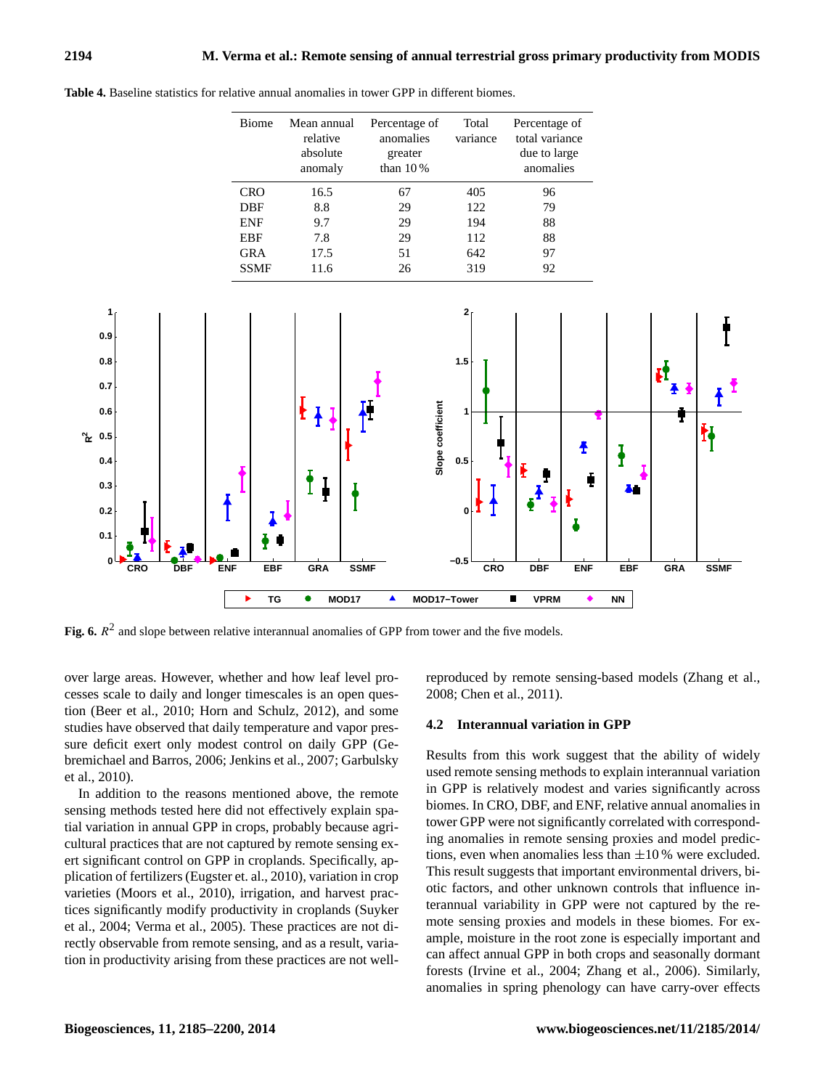| <b>Biome</b> | Mean annual<br>relative<br>absolute<br>anomaly | Percentage of<br>anomalies<br>greater<br>than $10\%$ | Total<br>variance | Percentage of<br>total variance<br>due to large<br>anomalies |
|--------------|------------------------------------------------|------------------------------------------------------|-------------------|--------------------------------------------------------------|
| CRO          | 16.5                                           | 67                                                   | 405               | 96                                                           |
| DBF          | 8.8                                            | 29                                                   | 122               | 79                                                           |
| <b>ENF</b>   | 9.7                                            | 29                                                   | 194               | 88                                                           |
| EBF          | 7.8                                            | 29                                                   | 112               | 88                                                           |
| GRA          | 17.5                                           | 51                                                   | 642               | 97                                                           |
| <b>SSMF</b>  | 11.6                                           | 26                                                   | 319               | 92                                                           |

**Table 4.** Baseline statistics for relative annual anomalies in tower GPP in different biomes.



Fig. 6.  $R^2$  and slope between relative interannual anomalies of GPP from tower and the five models.

over large areas. However, whether and how leaf level processes scale to daily and longer timescales is an open question (Beer et al., 2010; Horn and Schulz, 2012), and some studies have observed that daily temperature and vapor pressure deficit exert only modest control on daily GPP (Gebremichael and Barros, 2006; Jenkins et al., 2007; Garbulsky et al., 2010).

In addition to the reasons mentioned above, the remote sensing methods tested here did not effectively explain spatial variation in annual GPP in crops, probably because agricultural practices that are not captured by remote sensing exert significant control on GPP in croplands. Specifically, application of fertilizers (Eugster et. al., 2010), variation in crop varieties (Moors et al., 2010), irrigation, and harvest practices significantly modify productivity in croplands (Suyker et al., 2004; Verma et al., 2005). These practices are not directly observable from remote sensing, and as a result, variation in productivity arising from these practices are not wellreproduced by remote sensing-based models (Zhang et al., 2008; Chen et al., 2011).

#### **4.2 Interannual variation in GPP**

Results from this work suggest that the ability of widely used remote sensing methods to explain interannual variation in GPP is relatively modest and varies significantly across biomes. In CRO, DBF, and ENF, relative annual anomalies in tower GPP were not significantly correlated with corresponding anomalies in remote sensing proxies and model predictions, even when anomalies less than  $\pm 10$  % were excluded. This result suggests that important environmental drivers, biotic factors, and other unknown controls that influence interannual variability in GPP were not captured by the remote sensing proxies and models in these biomes. For example, moisture in the root zone is especially important and can affect annual GPP in both crops and seasonally dormant forests (Irvine et al., 2004; Zhang et al., 2006). Similarly, anomalies in spring phenology can have carry-over effects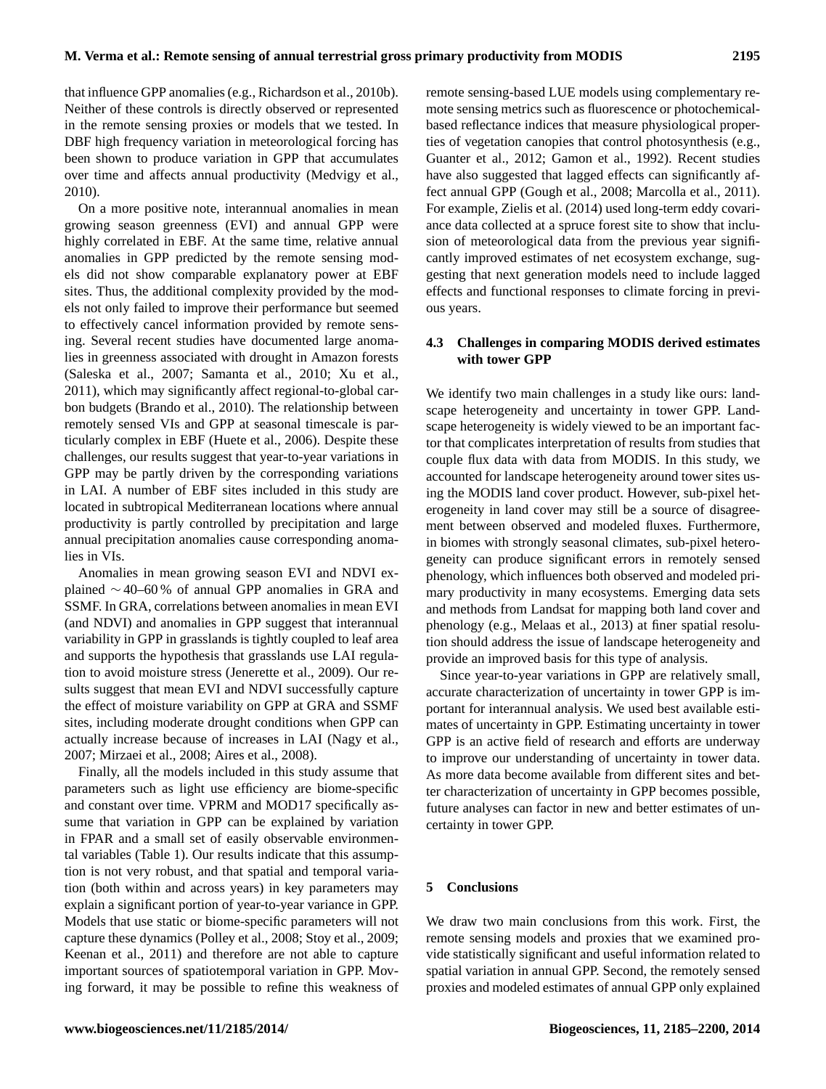that influence GPP anomalies (e.g., Richardson et al., 2010b). Neither of these controls is directly observed or represented in the remote sensing proxies or models that we tested. In DBF high frequency variation in meteorological forcing has been shown to produce variation in GPP that accumulates over time and affects annual productivity (Medvigy et al., 2010).

On a more positive note, interannual anomalies in mean growing season greenness (EVI) and annual GPP were highly correlated in EBF. At the same time, relative annual anomalies in GPP predicted by the remote sensing models did not show comparable explanatory power at EBF sites. Thus, the additional complexity provided by the models not only failed to improve their performance but seemed to effectively cancel information provided by remote sensing. Several recent studies have documented large anomalies in greenness associated with drought in Amazon forests (Saleska et al., 2007; Samanta et al., 2010; Xu et al., 2011), which may significantly affect regional-to-global carbon budgets (Brando et al., 2010). The relationship between remotely sensed VIs and GPP at seasonal timescale is particularly complex in EBF (Huete et al., 2006). Despite these challenges, our results suggest that year-to-year variations in GPP may be partly driven by the corresponding variations in LAI. A number of EBF sites included in this study are located in subtropical Mediterranean locations where annual productivity is partly controlled by precipitation and large annual precipitation anomalies cause corresponding anomalies in VIs.

Anomalies in mean growing season EVI and NDVI explained ∼ 40–60 % of annual GPP anomalies in GRA and SSMF. In GRA, correlations between anomalies in mean EVI (and NDVI) and anomalies in GPP suggest that interannual variability in GPP in grasslands is tightly coupled to leaf area and supports the hypothesis that grasslands use LAI regulation to avoid moisture stress (Jenerette et al., 2009). Our results suggest that mean EVI and NDVI successfully capture the effect of moisture variability on GPP at GRA and SSMF sites, including moderate drought conditions when GPP can actually increase because of increases in LAI (Nagy et al., 2007; Mirzaei et al., 2008; Aires et al., 2008).

Finally, all the models included in this study assume that parameters such as light use efficiency are biome-specific and constant over time. VPRM and MOD17 specifically assume that variation in GPP can be explained by variation in FPAR and a small set of easily observable environmental variables (Table 1). Our results indicate that this assumption is not very robust, and that spatial and temporal variation (both within and across years) in key parameters may explain a significant portion of year-to-year variance in GPP. Models that use static or biome-specific parameters will not capture these dynamics (Polley et al., 2008; Stoy et al., 2009; Keenan et al., 2011) and therefore are not able to capture important sources of spatiotemporal variation in GPP. Moving forward, it may be possible to refine this weakness of remote sensing-based LUE models using complementary remote sensing metrics such as fluorescence or photochemicalbased reflectance indices that measure physiological properties of vegetation canopies that control photosynthesis (e.g., Guanter et al., 2012; Gamon et al., 1992). Recent studies have also suggested that lagged effects can significantly affect annual GPP (Gough et al., 2008; Marcolla et al., 2011). For example, Zielis et al. (2014) used long-term eddy covariance data collected at a spruce forest site to show that inclusion of meteorological data from the previous year significantly improved estimates of net ecosystem exchange, suggesting that next generation models need to include lagged effects and functional responses to climate forcing in previous years.

#### **4.3 Challenges in comparing MODIS derived estimates with tower GPP**

We identify two main challenges in a study like ours: landscape heterogeneity and uncertainty in tower GPP. Landscape heterogeneity is widely viewed to be an important factor that complicates interpretation of results from studies that couple flux data with data from MODIS. In this study, we accounted for landscape heterogeneity around tower sites using the MODIS land cover product. However, sub-pixel heterogeneity in land cover may still be a source of disagreement between observed and modeled fluxes. Furthermore, in biomes with strongly seasonal climates, sub-pixel heterogeneity can produce significant errors in remotely sensed phenology, which influences both observed and modeled primary productivity in many ecosystems. Emerging data sets and methods from Landsat for mapping both land cover and phenology (e.g., Melaas et al., 2013) at finer spatial resolution should address the issue of landscape heterogeneity and provide an improved basis for this type of analysis.

Since year-to-year variations in GPP are relatively small, accurate characterization of uncertainty in tower GPP is important for interannual analysis. We used best available estimates of uncertainty in GPP. Estimating uncertainty in tower GPP is an active field of research and efforts are underway to improve our understanding of uncertainty in tower data. As more data become available from different sites and better characterization of uncertainty in GPP becomes possible, future analyses can factor in new and better estimates of uncertainty in tower GPP.

#### **5 Conclusions**

We draw two main conclusions from this work. First, the remote sensing models and proxies that we examined provide statistically significant and useful information related to spatial variation in annual GPP. Second, the remotely sensed proxies and modeled estimates of annual GPP only explained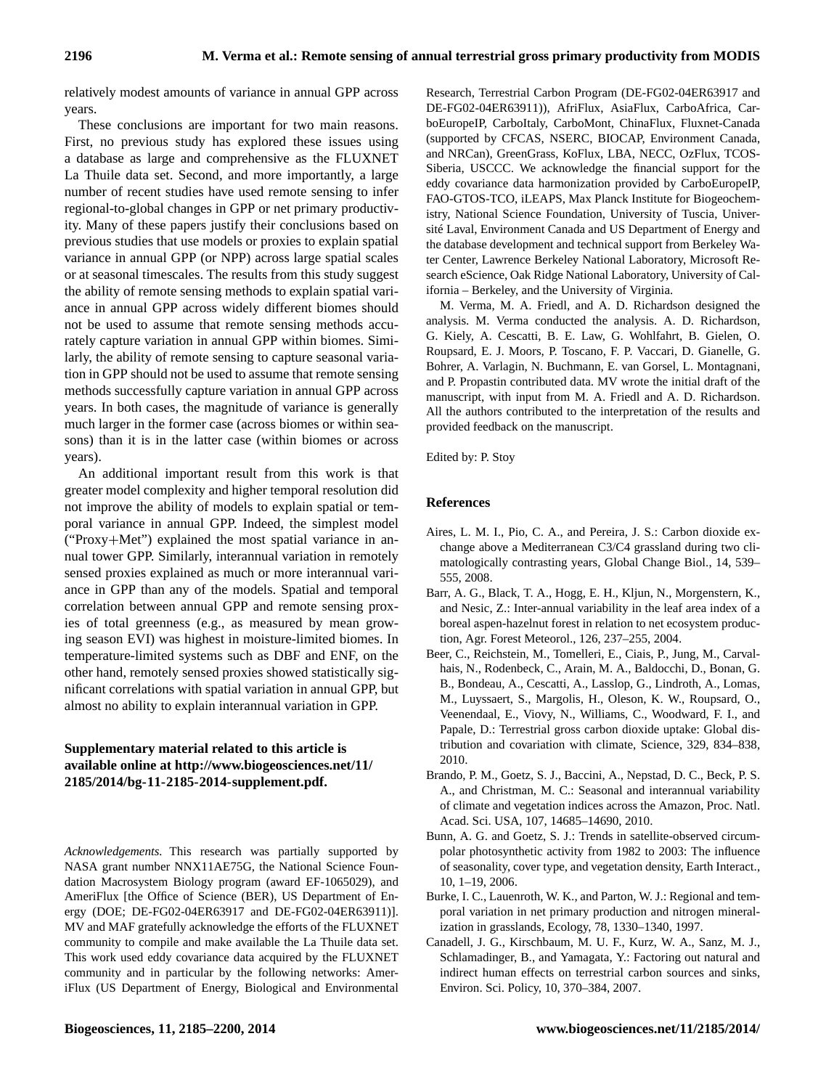relatively modest amounts of variance in annual GPP across years.

These conclusions are important for two main reasons. First, no previous study has explored these issues using a database as large and comprehensive as the FLUXNET La Thuile data set. Second, and more importantly, a large number of recent studies have used remote sensing to infer regional-to-global changes in GPP or net primary productivity. Many of these papers justify their conclusions based on previous studies that use models or proxies to explain spatial variance in annual GPP (or NPP) across large spatial scales or at seasonal timescales. The results from this study suggest the ability of remote sensing methods to explain spatial variance in annual GPP across widely different biomes should not be used to assume that remote sensing methods accurately capture variation in annual GPP within biomes. Similarly, the ability of remote sensing to capture seasonal variation in GPP should not be used to assume that remote sensing methods successfully capture variation in annual GPP across years. In both cases, the magnitude of variance is generally much larger in the former case (across biomes or within seasons) than it is in the latter case (within biomes or across years).

An additional important result from this work is that greater model complexity and higher temporal resolution did not improve the ability of models to explain spatial or temporal variance in annual GPP. Indeed, the simplest model ("Proxy+Met") explained the most spatial variance in annual tower GPP. Similarly, interannual variation in remotely sensed proxies explained as much or more interannual variance in GPP than any of the models. Spatial and temporal correlation between annual GPP and remote sensing proxies of total greenness (e.g., as measured by mean growing season EVI) was highest in moisture-limited biomes. In temperature-limited systems such as DBF and ENF, on the other hand, remotely sensed proxies showed statistically significant correlations with spatial variation in annual GPP, but almost no ability to explain interannual variation in GPP.

# **Supplementary material related to this article is available online at [http://www.biogeosciences.net/11/](http://www.biogeosciences.net/11/2185/2014/bg-11-2185-2014-supplement.pdf) [2185/2014/bg-11-2185-2014-supplement.pdf.](http://www.biogeosciences.net/11/2185/2014/bg-11-2185-2014-supplement.pdf)**

*Acknowledgements.* This research was partially supported by NASA grant number NNX11AE75G, the National Science Foundation Macrosystem Biology program (award EF-1065029), and AmeriFlux [the Office of Science (BER), US Department of Energy (DOE; DE-FG02-04ER63917 and DE-FG02-04ER63911)]. MV and MAF gratefully acknowledge the efforts of the FLUXNET community to compile and make available the La Thuile data set. This work used eddy covariance data acquired by the FLUXNET community and in particular by the following networks: AmeriFlux (US Department of Energy, Biological and Environmental Research, Terrestrial Carbon Program (DE-FG02-04ER63917 and DE-FG02-04ER63911)), AfriFlux, AsiaFlux, CarboAfrica, CarboEuropeIP, CarboItaly, CarboMont, ChinaFlux, Fluxnet-Canada (supported by CFCAS, NSERC, BIOCAP, Environment Canada, and NRCan), GreenGrass, KoFlux, LBA, NECC, OzFlux, TCOS-Siberia, USCCC. We acknowledge the financial support for the eddy covariance data harmonization provided by CarboEuropeIP, FAO-GTOS-TCO, iLEAPS, Max Planck Institute for Biogeochemistry, National Science Foundation, University of Tuscia, Université Laval, Environment Canada and US Department of Energy and the database development and technical support from Berkeley Water Center, Lawrence Berkeley National Laboratory, Microsoft Research eScience, Oak Ridge National Laboratory, University of California – Berkeley, and the University of Virginia.

M. Verma, M. A. Friedl, and A. D. Richardson designed the analysis. M. Verma conducted the analysis. A. D. Richardson, G. Kiely, A. Cescatti, B. E. Law, G. Wohlfahrt, B. Gielen, O. Roupsard, E. J. Moors, P. Toscano, F. P. Vaccari, D. Gianelle, G. Bohrer, A. Varlagin, N. Buchmann, E. van Gorsel, L. Montagnani, and P. Propastin contributed data. MV wrote the initial draft of the manuscript, with input from M. A. Friedl and A. D. Richardson. All the authors contributed to the interpretation of the results and provided feedback on the manuscript.

Edited by: P. Stoy

#### **References**

- Aires, L. M. I., Pio, C. A., and Pereira, J. S.: Carbon dioxide exchange above a Mediterranean C3/C4 grassland during two climatologically contrasting years, Global Change Biol., 14, 539– 555, 2008.
- Barr, A. G., Black, T. A., Hogg, E. H., Kljun, N., Morgenstern, K., and Nesic, Z.: Inter-annual variability in the leaf area index of a boreal aspen-hazelnut forest in relation to net ecosystem production, Agr. Forest Meteorol., 126, 237–255, 2004.
- Beer, C., Reichstein, M., Tomelleri, E., Ciais, P., Jung, M., Carvalhais, N., Rodenbeck, C., Arain, M. A., Baldocchi, D., Bonan, G. B., Bondeau, A., Cescatti, A., Lasslop, G., Lindroth, A., Lomas, M., Luyssaert, S., Margolis, H., Oleson, K. W., Roupsard, O., Veenendaal, E., Viovy, N., Williams, C., Woodward, F. I., and Papale, D.: Terrestrial gross carbon dioxide uptake: Global distribution and covariation with climate, Science, 329, 834–838, 2010.
- Brando, P. M., Goetz, S. J., Baccini, A., Nepstad, D. C., Beck, P. S. A., and Christman, M. C.: Seasonal and interannual variability of climate and vegetation indices across the Amazon, Proc. Natl. Acad. Sci. USA, 107, 14685–14690, 2010.
- Bunn, A. G. and Goetz, S. J.: Trends in satellite-observed circumpolar photosynthetic activity from 1982 to 2003: The influence of seasonality, cover type, and vegetation density, Earth Interact., 10, 1–19, 2006.
- Burke, I. C., Lauenroth, W. K., and Parton, W. J.: Regional and temporal variation in net primary production and nitrogen mineralization in grasslands, Ecology, 78, 1330–1340, 1997.
- Canadell, J. G., Kirschbaum, M. U. F., Kurz, W. A., Sanz, M. J., Schlamadinger, B., and Yamagata, Y.: Factoring out natural and indirect human effects on terrestrial carbon sources and sinks, Environ. Sci. Policy, 10, 370–384, 2007.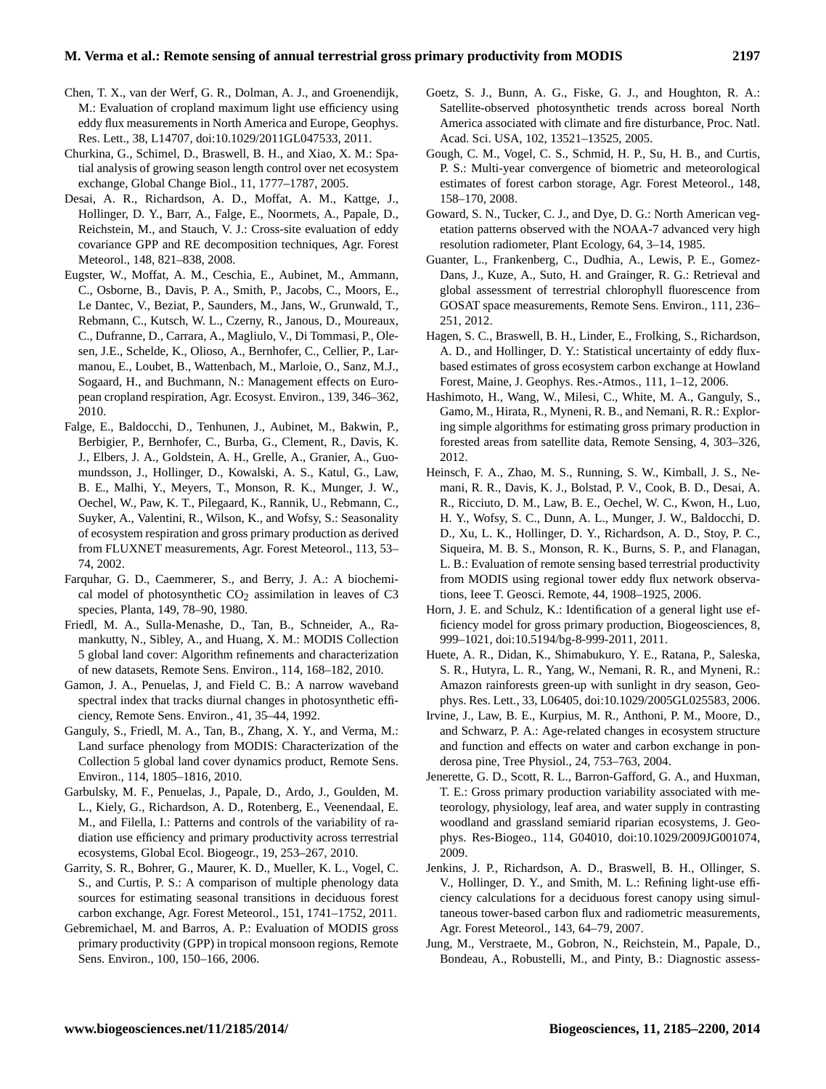- Chen, T. X., van der Werf, G. R., Dolman, A. J., and Groenendijk, M.: Evaluation of cropland maximum light use efficiency using eddy flux measurements in North America and Europe, Geophys. Res. Lett., 38, L14707, doi[:10.1029/2011GL047533,](http://dx.doi.org/10.1029/2011GL047533) 2011.
- Churkina, G., Schimel, D., Braswell, B. H., and Xiao, X. M.: Spatial analysis of growing season length control over net ecosystem exchange, Global Change Biol., 11, 1777–1787, 2005.
- Desai, A. R., Richardson, A. D., Moffat, A. M., Kattge, J., Hollinger, D. Y., Barr, A., Falge, E., Noormets, A., Papale, D., Reichstein, M., and Stauch, V. J.: Cross-site evaluation of eddy covariance GPP and RE decomposition techniques, Agr. Forest Meteorol., 148, 821–838, 2008.
- Eugster, W., Moffat, A. M., Ceschia, E., Aubinet, M., Ammann, C., Osborne, B., Davis, P. A., Smith, P., Jacobs, C., Moors, E., Le Dantec, V., Beziat, P., Saunders, M., Jans, W., Grunwald, T., Rebmann, C., Kutsch, W. L., Czerny, R., Janous, D., Moureaux, C., Dufranne, D., Carrara, A., Magliulo, V., Di Tommasi, P., Olesen, J.E., Schelde, K., Olioso, A., Bernhofer, C., Cellier, P., Larmanou, E., Loubet, B., Wattenbach, M., Marloie, O., Sanz, M.J., Sogaard, H., and Buchmann, N.: Management effects on European cropland respiration, Agr. Ecosyst. Environ., 139, 346–362, 2010.
- Falge, E., Baldocchi, D., Tenhunen, J., Aubinet, M., Bakwin, P., Berbigier, P., Bernhofer, C., Burba, G., Clement, R., Davis, K. J., Elbers, J. A., Goldstein, A. H., Grelle, A., Granier, A., Guomundsson, J., Hollinger, D., Kowalski, A. S., Katul, G., Law, B. E., Malhi, Y., Meyers, T., Monson, R. K., Munger, J. W., Oechel, W., Paw, K. T., Pilegaard, K., Rannik, U., Rebmann, C., Suyker, A., Valentini, R., Wilson, K., and Wofsy, S.: Seasonality of ecosystem respiration and gross primary production as derived from FLUXNET measurements, Agr. Forest Meteorol., 113, 53– 74, 2002.
- Farquhar, G. D., Caemmerer, S., and Berry, J. A.: A biochemical model of photosynthetic  $CO<sub>2</sub>$  assimilation in leaves of  $C<sub>3</sub>$ species, Planta, 149, 78–90, 1980.
- Friedl, M. A., Sulla-Menashe, D., Tan, B., Schneider, A., Ramankutty, N., Sibley, A., and Huang, X. M.: MODIS Collection 5 global land cover: Algorithm refinements and characterization of new datasets, Remote Sens. Environ., 114, 168–182, 2010.
- Gamon, J. A., Penuelas, J, and Field C. B.: A narrow waveband spectral index that tracks diurnal changes in photosynthetic efficiency, Remote Sens. Environ., 41, 35–44, 1992.
- Ganguly, S., Friedl, M. A., Tan, B., Zhang, X. Y., and Verma, M.: Land surface phenology from MODIS: Characterization of the Collection 5 global land cover dynamics product, Remote Sens. Environ., 114, 1805–1816, 2010.
- Garbulsky, M. F., Penuelas, J., Papale, D., Ardo, J., Goulden, M. L., Kiely, G., Richardson, A. D., Rotenberg, E., Veenendaal, E. M., and Filella, I.: Patterns and controls of the variability of radiation use efficiency and primary productivity across terrestrial ecosystems, Global Ecol. Biogeogr., 19, 253–267, 2010.
- Garrity, S. R., Bohrer, G., Maurer, K. D., Mueller, K. L., Vogel, C. S., and Curtis, P. S.: A comparison of multiple phenology data sources for estimating seasonal transitions in deciduous forest carbon exchange, Agr. Forest Meteorol., 151, 1741–1752, 2011.
- Gebremichael, M. and Barros, A. P.: Evaluation of MODIS gross primary productivity (GPP) in tropical monsoon regions, Remote Sens. Environ., 100, 150–166, 2006.
- Goetz, S. J., Bunn, A. G., Fiske, G. J., and Houghton, R. A.: Satellite-observed photosynthetic trends across boreal North America associated with climate and fire disturbance, Proc. Natl. Acad. Sci. USA, 102, 13521–13525, 2005.
- Gough, C. M., Vogel, C. S., Schmid, H. P., Su, H. B., and Curtis, P. S.: Multi-year convergence of biometric and meteorological estimates of forest carbon storage, Agr. Forest Meteorol., 148, 158–170, 2008.
- Goward, S. N., Tucker, C. J., and Dye, D. G.: North American vegetation patterns observed with the NOAA-7 advanced very high resolution radiometer, Plant Ecology, 64, 3–14, 1985.
- Guanter, L., Frankenberg, C., Dudhia, A., Lewis, P. E., Gomez-Dans, J., Kuze, A., Suto, H. and Grainger, R. G.: Retrieval and global assessment of terrestrial chlorophyll fluorescence from GOSAT space measurements, Remote Sens. Environ., 111, 236– 251, 2012.
- Hagen, S. C., Braswell, B. H., Linder, E., Frolking, S., Richardson, A. D., and Hollinger, D. Y.: Statistical uncertainty of eddy fluxbased estimates of gross ecosystem carbon exchange at Howland Forest, Maine, J. Geophys. Res.-Atmos., 111, 1–12, 2006.
- Hashimoto, H., Wang, W., Milesi, C., White, M. A., Ganguly, S., Gamo, M., Hirata, R., Myneni, R. B., and Nemani, R. R.: Exploring simple algorithms for estimating gross primary production in forested areas from satellite data, Remote Sensing, 4, 303–326, 2012.
- Heinsch, F. A., Zhao, M. S., Running, S. W., Kimball, J. S., Nemani, R. R., Davis, K. J., Bolstad, P. V., Cook, B. D., Desai, A. R., Ricciuto, D. M., Law, B. E., Oechel, W. C., Kwon, H., Luo, H. Y., Wofsy, S. C., Dunn, A. L., Munger, J. W., Baldocchi, D. D., Xu, L. K., Hollinger, D. Y., Richardson, A. D., Stoy, P. C., Siqueira, M. B. S., Monson, R. K., Burns, S. P., and Flanagan, L. B.: Evaluation of remote sensing based terrestrial productivity from MODIS using regional tower eddy flux network observations, Ieee T. Geosci. Remote, 44, 1908–1925, 2006.
- Horn, J. E. and Schulz, K.: Identification of a general light use efficiency model for gross primary production, Biogeosciences, 8, 999–1021, doi[:10.5194/bg-8-999-2011,](http://dx.doi.org/10.5194/bg-8-999-2011) 2011.
- Huete, A. R., Didan, K., Shimabukuro, Y. E., Ratana, P., Saleska, S. R., Hutyra, L. R., Yang, W., Nemani, R. R., and Myneni, R.: Amazon rainforests green-up with sunlight in dry season, Geophys. Res. Lett., 33, L06405, doi[:10.1029/2005GL025583,](http://dx.doi.org/10.1029/2005GL025583) 2006.
- Irvine, J., Law, B. E., Kurpius, M. R., Anthoni, P. M., Moore, D., and Schwarz, P. A.: Age-related changes in ecosystem structure and function and effects on water and carbon exchange in ponderosa pine, Tree Physiol., 24, 753–763, 2004.
- Jenerette, G. D., Scott, R. L., Barron-Gafford, G. A., and Huxman, T. E.: Gross primary production variability associated with meteorology, physiology, leaf area, and water supply in contrasting woodland and grassland semiarid riparian ecosystems, J. Geophys. Res-Biogeo., 114, G04010, doi[:10.1029/2009JG001074,](http://dx.doi.org/10.1029/2009JG001074) 2009.
- Jenkins, J. P., Richardson, A. D., Braswell, B. H., Ollinger, S. V., Hollinger, D. Y., and Smith, M. L.: Refining light-use efficiency calculations for a deciduous forest canopy using simultaneous tower-based carbon flux and radiometric measurements, Agr. Forest Meteorol., 143, 64–79, 2007.
- Jung, M., Verstraete, M., Gobron, N., Reichstein, M., Papale, D., Bondeau, A., Robustelli, M., and Pinty, B.: Diagnostic assess-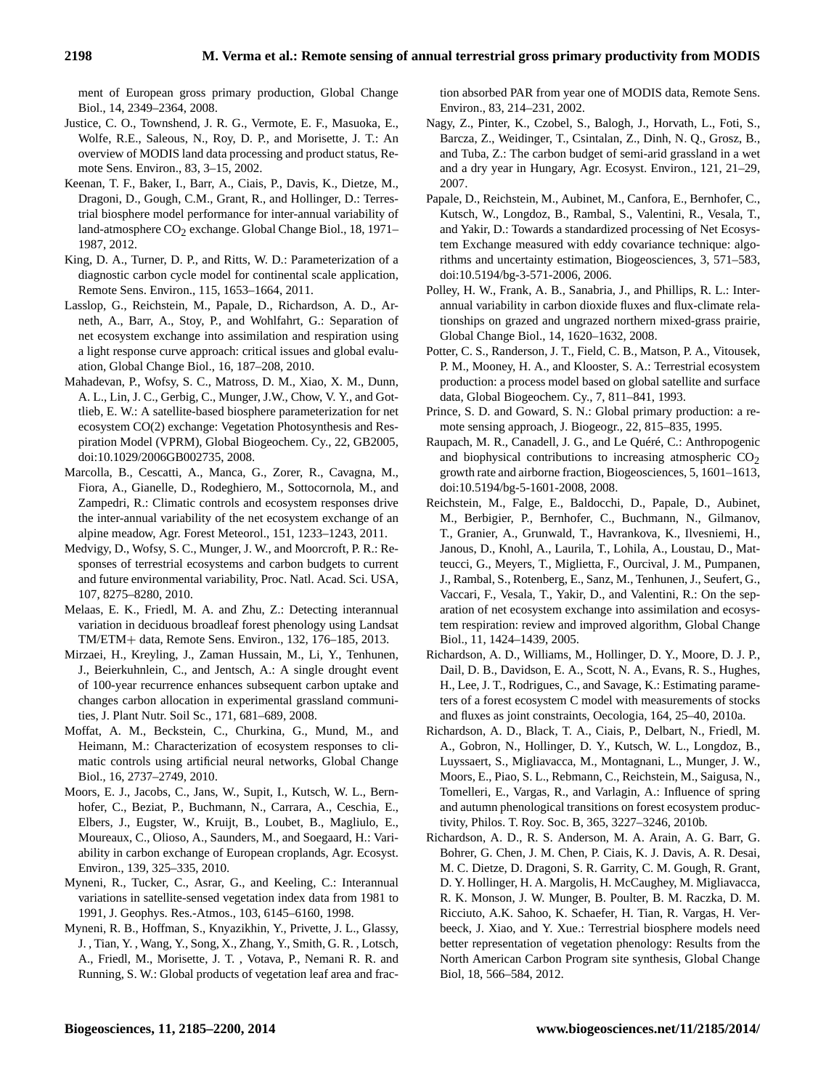ment of European gross primary production, Global Change Biol., 14, 2349–2364, 2008.

- Justice, C. O., Townshend, J. R. G., Vermote, E. F., Masuoka, E., Wolfe, R.E., Saleous, N., Roy, D. P., and Morisette, J. T.: An overview of MODIS land data processing and product status, Remote Sens. Environ., 83, 3–15, 2002.
- Keenan, T. F., Baker, I., Barr, A., Ciais, P., Davis, K., Dietze, M., Dragoni, D., Gough, C.M., Grant, R., and Hollinger, D.: Terrestrial biosphere model performance for inter-annual variability of land-atmosphere CO<sub>2</sub> exchange. Global Change Biol., 18, 1971– 1987, 2012.
- King, D. A., Turner, D. P., and Ritts, W. D.: Parameterization of a diagnostic carbon cycle model for continental scale application, Remote Sens. Environ., 115, 1653–1664, 2011.
- Lasslop, G., Reichstein, M., Papale, D., Richardson, A. D., Arneth, A., Barr, A., Stoy, P., and Wohlfahrt, G.: Separation of net ecosystem exchange into assimilation and respiration using a light response curve approach: critical issues and global evaluation, Global Change Biol., 16, 187–208, 2010.
- Mahadevan, P., Wofsy, S. C., Matross, D. M., Xiao, X. M., Dunn, A. L., Lin, J. C., Gerbig, C., Munger, J.W., Chow, V. Y., and Gottlieb, E. W.: A satellite-based biosphere parameterization for net ecosystem CO(2) exchange: Vegetation Photosynthesis and Respiration Model (VPRM), Global Biogeochem. Cy., 22, GB2005, doi[:10.1029/2006GB002735,](http://dx.doi.org/10.1029/2006GB002735) 2008.
- Marcolla, B., Cescatti, A., Manca, G., Zorer, R., Cavagna, M., Fiora, A., Gianelle, D., Rodeghiero, M., Sottocornola, M., and Zampedri, R.: Climatic controls and ecosystem responses drive the inter-annual variability of the net ecosystem exchange of an alpine meadow, Agr. Forest Meteorol., 151, 1233–1243, 2011.
- Medvigy, D., Wofsy, S. C., Munger, J. W., and Moorcroft, P. R.: Responses of terrestrial ecosystems and carbon budgets to current and future environmental variability, Proc. Natl. Acad. Sci. USA, 107, 8275–8280, 2010.
- Melaas, E. K., Friedl, M. A. and Zhu, Z.: Detecting interannual variation in deciduous broadleaf forest phenology using Landsat TM/ETM+ data, Remote Sens. Environ., 132, 176–185, 2013.
- Mirzaei, H., Kreyling, J., Zaman Hussain, M., Li, Y., Tenhunen, J., Beierkuhnlein, C., and Jentsch, A.: A single drought event of 100-year recurrence enhances subsequent carbon uptake and changes carbon allocation in experimental grassland communities, J. Plant Nutr. Soil Sc., 171, 681–689, 2008.
- Moffat, A. M., Beckstein, C., Churkina, G., Mund, M., and Heimann, M.: Characterization of ecosystem responses to climatic controls using artificial neural networks, Global Change Biol., 16, 2737–2749, 2010.
- Moors, E. J., Jacobs, C., Jans, W., Supit, I., Kutsch, W. L., Bernhofer, C., Beziat, P., Buchmann, N., Carrara, A., Ceschia, E., Elbers, J., Eugster, W., Kruijt, B., Loubet, B., Magliulo, E., Moureaux, C., Olioso, A., Saunders, M., and Soegaard, H.: Variability in carbon exchange of European croplands, Agr. Ecosyst. Environ., 139, 325–335, 2010.
- Myneni, R., Tucker, C., Asrar, G., and Keeling, C.: Interannual variations in satellite-sensed vegetation index data from 1981 to 1991, J. Geophys. Res.-Atmos., 103, 6145–6160, 1998.
- Myneni, R. B., Hoffman, S., Knyazikhin, Y., Privette, J. L., Glassy, J. , Tian, Y. , Wang, Y., Song, X., Zhang, Y., Smith, G. R. , Lotsch, A., Friedl, M., Morisette, J. T. , Votava, P., Nemani R. R. and Running, S. W.: Global products of vegetation leaf area and frac-

tion absorbed PAR from year one of MODIS data, Remote Sens. Environ., 83, 214–231, 2002.

- Nagy, Z., Pinter, K., Czobel, S., Balogh, J., Horvath, L., Foti, S., Barcza, Z., Weidinger, T., Csintalan, Z., Dinh, N. Q., Grosz, B., and Tuba, Z.: The carbon budget of semi-arid grassland in a wet and a dry year in Hungary, Agr. Ecosyst. Environ., 121, 21–29, 2007.
- Papale, D., Reichstein, M., Aubinet, M., Canfora, E., Bernhofer, C., Kutsch, W., Longdoz, B., Rambal, S., Valentini, R., Vesala, T., and Yakir, D.: Towards a standardized processing of Net Ecosystem Exchange measured with eddy covariance technique: algorithms and uncertainty estimation, Biogeosciences, 3, 571–583, doi[:10.5194/bg-3-571-2006,](http://dx.doi.org/10.5194/bg-3-571-2006) 2006.
- Polley, H. W., Frank, A. B., Sanabria, J., and Phillips, R. L.: Interannual variability in carbon dioxide fluxes and flux-climate relationships on grazed and ungrazed northern mixed-grass prairie, Global Change Biol., 14, 1620–1632, 2008.
- Potter, C. S., Randerson, J. T., Field, C. B., Matson, P. A., Vitousek, P. M., Mooney, H. A., and Klooster, S. A.: Terrestrial ecosystem production: a process model based on global satellite and surface data, Global Biogeochem. Cy., 7, 811–841, 1993.
- Prince, S. D. and Goward, S. N.: Global primary production: a remote sensing approach, J. Biogeogr., 22, 815–835, 1995.
- Raupach, M. R., Canadell, J. G., and Le Quéré, C.: Anthropogenic and biophysical contributions to increasing atmospheric  $CO<sub>2</sub>$ growth rate and airborne fraction, Biogeosciences, 5, 1601–1613, doi[:10.5194/bg-5-1601-2008,](http://dx.doi.org/10.5194/bg-5-1601-2008) 2008.
- Reichstein, M., Falge, E., Baldocchi, D., Papale, D., Aubinet, M., Berbigier, P., Bernhofer, C., Buchmann, N., Gilmanov, T., Granier, A., Grunwald, T., Havrankova, K., Ilvesniemi, H., Janous, D., Knohl, A., Laurila, T., Lohila, A., Loustau, D., Matteucci, G., Meyers, T., Miglietta, F., Ourcival, J. M., Pumpanen, J., Rambal, S., Rotenberg, E., Sanz, M., Tenhunen, J., Seufert, G., Vaccari, F., Vesala, T., Yakir, D., and Valentini, R.: On the separation of net ecosystem exchange into assimilation and ecosystem respiration: review and improved algorithm, Global Change Biol., 11, 1424–1439, 2005.
- Richardson, A. D., Williams, M., Hollinger, D. Y., Moore, D. J. P., Dail, D. B., Davidson, E. A., Scott, N. A., Evans, R. S., Hughes, H., Lee, J. T., Rodrigues, C., and Savage, K.: Estimating parameters of a forest ecosystem C model with measurements of stocks and fluxes as joint constraints, Oecologia, 164, 25–40, 2010a.
- Richardson, A. D., Black, T. A., Ciais, P., Delbart, N., Friedl, M. A., Gobron, N., Hollinger, D. Y., Kutsch, W. L., Longdoz, B., Luyssaert, S., Migliavacca, M., Montagnani, L., Munger, J. W., Moors, E., Piao, S. L., Rebmann, C., Reichstein, M., Saigusa, N., Tomelleri, E., Vargas, R., and Varlagin, A.: Influence of spring and autumn phenological transitions on forest ecosystem productivity, Philos. T. Roy. Soc. B, 365, 3227–3246, 2010b.
- Richardson, A. D., R. S. Anderson, M. A. Arain, A. G. Barr, G. Bohrer, G. Chen, J. M. Chen, P. Ciais, K. J. Davis, A. R. Desai, M. C. Dietze, D. Dragoni, S. R. Garrity, C. M. Gough, R. Grant, D. Y. Hollinger, H. A. Margolis, H. McCaughey, M. Migliavacca, R. K. Monson, J. W. Munger, B. Poulter, B. M. Raczka, D. M. Ricciuto, A.K. Sahoo, K. Schaefer, H. Tian, R. Vargas, H. Verbeeck, J. Xiao, and Y. Xue.: Terrestrial biosphere models need better representation of vegetation phenology: Results from the North American Carbon Program site synthesis, Global Change Biol, 18, 566–584, 2012.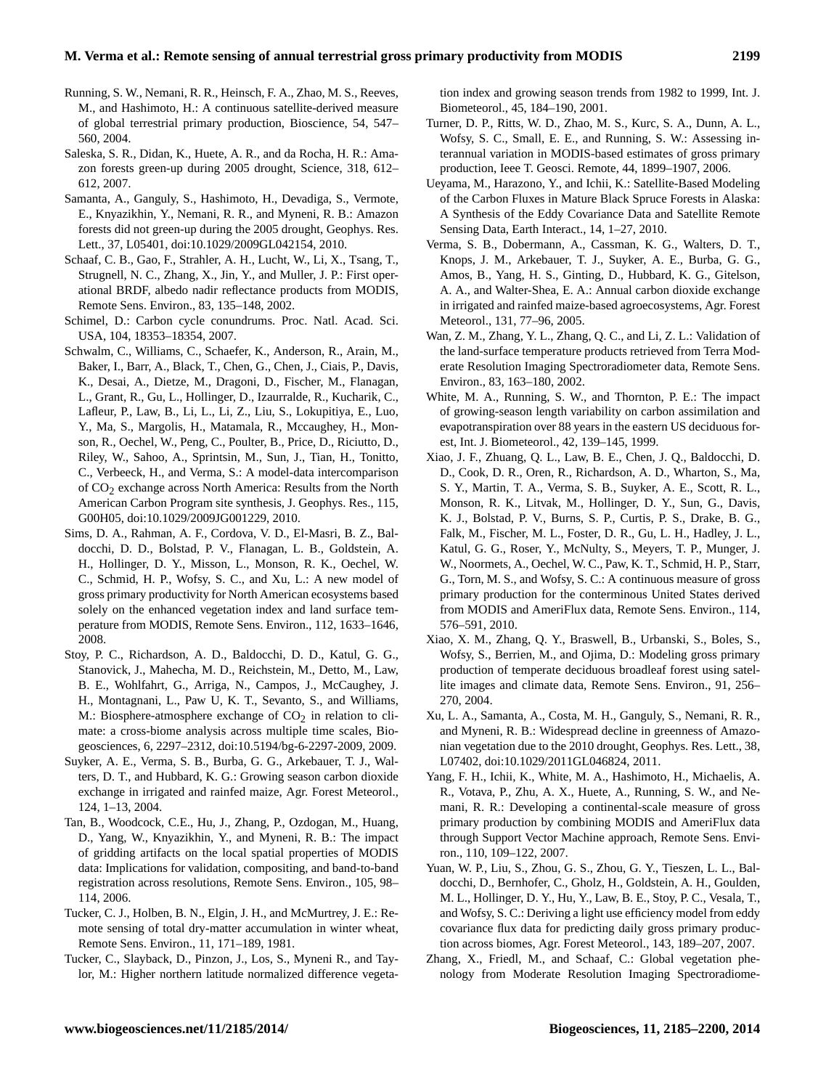- Running, S. W., Nemani, R. R., Heinsch, F. A., Zhao, M. S., Reeves, M., and Hashimoto, H.: A continuous satellite-derived measure of global terrestrial primary production, Bioscience, 54, 547– 560, 2004.
- Saleska, S. R., Didan, K., Huete, A. R., and da Rocha, H. R.: Amazon forests green-up during 2005 drought, Science, 318, 612– 612, 2007.
- Samanta, A., Ganguly, S., Hashimoto, H., Devadiga, S., Vermote, E., Knyazikhin, Y., Nemani, R. R., and Myneni, R. B.: Amazon forests did not green-up during the 2005 drought, Geophys. Res. Lett., 37, L05401, doi[:10.1029/2009GL042154,](http://dx.doi.org/10.1029/2009GL042154) 2010.
- Schaaf, C. B., Gao, F., Strahler, A. H., Lucht, W., Li, X., Tsang, T., Strugnell, N. C., Zhang, X., Jin, Y., and Muller, J. P.: First operational BRDF, albedo nadir reflectance products from MODIS, Remote Sens. Environ., 83, 135–148, 2002.
- Schimel, D.: Carbon cycle conundrums. Proc. Natl. Acad. Sci. USA, 104, 18353–18354, 2007.
- Schwalm, C., Williams, C., Schaefer, K., Anderson, R., Arain, M., Baker, I., Barr, A., Black, T., Chen, G., Chen, J., Ciais, P., Davis, K., Desai, A., Dietze, M., Dragoni, D., Fischer, M., Flanagan, L., Grant, R., Gu, L., Hollinger, D., Izaurralde, R., Kucharik, C., Lafleur, P., Law, B., Li, L., Li, Z., Liu, S., Lokupitiya, E., Luo, Y., Ma, S., Margolis, H., Matamala, R., Mccaughey, H., Monson, R., Oechel, W., Peng, C., Poulter, B., Price, D., Riciutto, D., Riley, W., Sahoo, A., Sprintsin, M., Sun, J., Tian, H., Tonitto, C., Verbeeck, H., and Verma, S.: A model-data intercomparison of CO2 exchange across North America: Results from the North American Carbon Program site synthesis, J. Geophys. Res., 115, G00H05, doi[:10.1029/2009JG001229,](http://dx.doi.org/10.1029/2009JG001229) 2010.
- Sims, D. A., Rahman, A. F., Cordova, V. D., El-Masri, B. Z., Baldocchi, D. D., Bolstad, P. V., Flanagan, L. B., Goldstein, A. H., Hollinger, D. Y., Misson, L., Monson, R. K., Oechel, W. C., Schmid, H. P., Wofsy, S. C., and Xu, L.: A new model of gross primary productivity for North American ecosystems based solely on the enhanced vegetation index and land surface temperature from MODIS, Remote Sens. Environ., 112, 1633–1646, 2008.
- Stoy, P. C., Richardson, A. D., Baldocchi, D. D., Katul, G. G., Stanovick, J., Mahecha, M. D., Reichstein, M., Detto, M., Law, B. E., Wohlfahrt, G., Arriga, N., Campos, J., McCaughey, J. H., Montagnani, L., Paw U, K. T., Sevanto, S., and Williams, M.: Biosphere-atmosphere exchange of  $CO<sub>2</sub>$  in relation to climate: a cross-biome analysis across multiple time scales, Biogeosciences, 6, 2297–2312, doi[:10.5194/bg-6-2297-2009,](http://dx.doi.org/10.5194/bg-6-2297-2009) 2009.
- Suyker, A. E., Verma, S. B., Burba, G. G., Arkebauer, T. J., Walters, D. T., and Hubbard, K. G.: Growing season carbon dioxide exchange in irrigated and rainfed maize, Agr. Forest Meteorol., 124, 1–13, 2004.
- Tan, B., Woodcock, C.E., Hu, J., Zhang, P., Ozdogan, M., Huang, D., Yang, W., Knyazikhin, Y., and Myneni, R. B.: The impact of gridding artifacts on the local spatial properties of MODIS data: Implications for validation, compositing, and band-to-band registration across resolutions, Remote Sens. Environ., 105, 98– 114, 2006.
- Tucker, C. J., Holben, B. N., Elgin, J. H., and McMurtrey, J. E.: Remote sensing of total dry-matter accumulation in winter wheat, Remote Sens. Environ., 11, 171–189, 1981.
- Tucker, C., Slayback, D., Pinzon, J., Los, S., Myneni R., and Taylor, M.: Higher northern latitude normalized difference vegeta-

tion index and growing season trends from 1982 to 1999, Int. J. Biometeorol., 45, 184–190, 2001.

- Turner, D. P., Ritts, W. D., Zhao, M. S., Kurc, S. A., Dunn, A. L., Wofsy, S. C., Small, E. E., and Running, S. W.: Assessing interannual variation in MODIS-based estimates of gross primary production, Ieee T. Geosci. Remote, 44, 1899–1907, 2006.
- Ueyama, M., Harazono, Y., and Ichii, K.: Satellite-Based Modeling of the Carbon Fluxes in Mature Black Spruce Forests in Alaska: A Synthesis of the Eddy Covariance Data and Satellite Remote Sensing Data, Earth Interact., 14, 1–27, 2010.
- Verma, S. B., Dobermann, A., Cassman, K. G., Walters, D. T., Knops, J. M., Arkebauer, T. J., Suyker, A. E., Burba, G. G., Amos, B., Yang, H. S., Ginting, D., Hubbard, K. G., Gitelson, A. A., and Walter-Shea, E. A.: Annual carbon dioxide exchange in irrigated and rainfed maize-based agroecosystems, Agr. Forest Meteorol., 131, 77–96, 2005.
- Wan, Z. M., Zhang, Y. L., Zhang, Q. C., and Li, Z. L.: Validation of the land-surface temperature products retrieved from Terra Moderate Resolution Imaging Spectroradiometer data, Remote Sens. Environ., 83, 163–180, 2002.
- White, M. A., Running, S. W., and Thornton, P. E.: The impact of growing-season length variability on carbon assimilation and evapotranspiration over 88 years in the eastern US deciduous forest, Int. J. Biometeorol., 42, 139–145, 1999.
- Xiao, J. F., Zhuang, Q. L., Law, B. E., Chen, J. Q., Baldocchi, D. D., Cook, D. R., Oren, R., Richardson, A. D., Wharton, S., Ma, S. Y., Martin, T. A., Verma, S. B., Suyker, A. E., Scott, R. L., Monson, R. K., Litvak, M., Hollinger, D. Y., Sun, G., Davis, K. J., Bolstad, P. V., Burns, S. P., Curtis, P. S., Drake, B. G., Falk, M., Fischer, M. L., Foster, D. R., Gu, L. H., Hadley, J. L., Katul, G. G., Roser, Y., McNulty, S., Meyers, T. P., Munger, J. W., Noormets, A., Oechel, W. C., Paw, K. T., Schmid, H. P., Starr, G., Torn, M. S., and Wofsy, S. C.: A continuous measure of gross primary production for the conterminous United States derived from MODIS and AmeriFlux data, Remote Sens. Environ., 114, 576–591, 2010.
- Xiao, X. M., Zhang, Q. Y., Braswell, B., Urbanski, S., Boles, S., Wofsy, S., Berrien, M., and Ojima, D.: Modeling gross primary production of temperate deciduous broadleaf forest using satellite images and climate data, Remote Sens. Environ., 91, 256– 270, 2004.
- Xu, L. A., Samanta, A., Costa, M. H., Ganguly, S., Nemani, R. R., and Myneni, R. B.: Widespread decline in greenness of Amazonian vegetation due to the 2010 drought, Geophys. Res. Lett., 38, L07402, doi[:10.1029/2011GL046824,](http://dx.doi.org/10.1029/2011GL046824) 2011.
- Yang, F. H., Ichii, K., White, M. A., Hashimoto, H., Michaelis, A. R., Votava, P., Zhu, A. X., Huete, A., Running, S. W., and Nemani, R. R.: Developing a continental-scale measure of gross primary production by combining MODIS and AmeriFlux data through Support Vector Machine approach, Remote Sens. Environ., 110, 109–122, 2007.
- Yuan, W. P., Liu, S., Zhou, G. S., Zhou, G. Y., Tieszen, L. L., Baldocchi, D., Bernhofer, C., Gholz, H., Goldstein, A. H., Goulden, M. L., Hollinger, D. Y., Hu, Y., Law, B. E., Stoy, P. C., Vesala, T., and Wofsy, S. C.: Deriving a light use efficiency model from eddy covariance flux data for predicting daily gross primary production across biomes, Agr. Forest Meteorol., 143, 189–207, 2007.
- Zhang, X., Friedl, M., and Schaaf, C.: Global vegetation phenology from Moderate Resolution Imaging Spectroradiome-